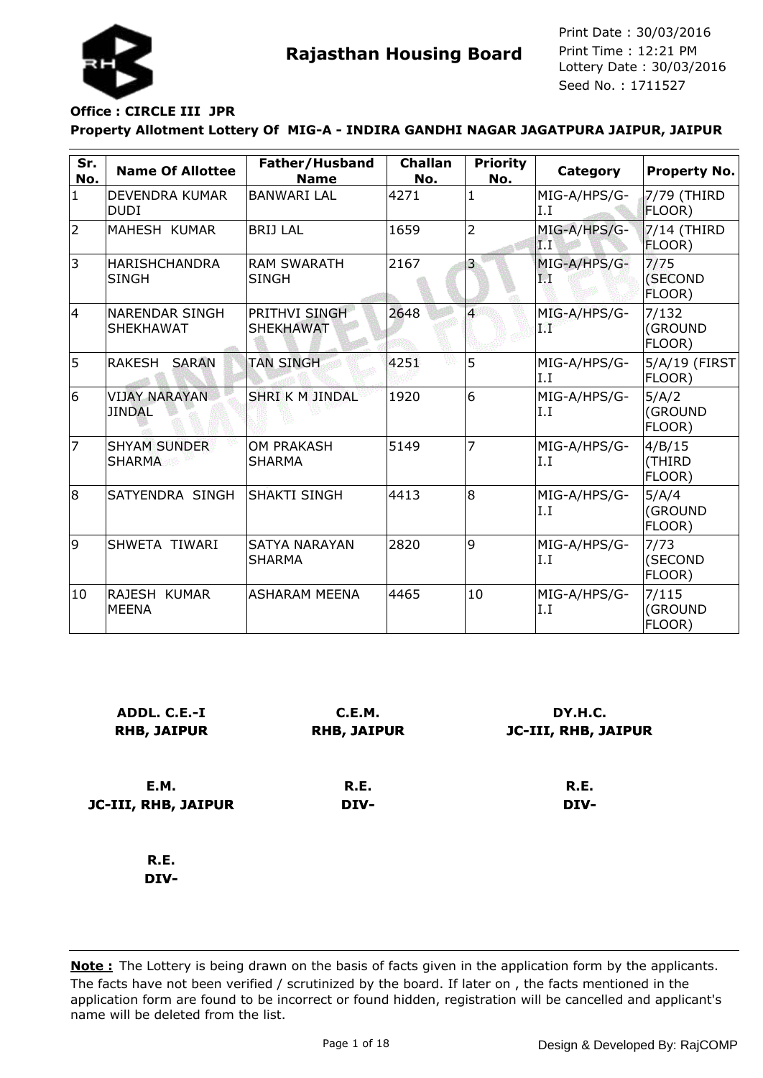

# **Office : CIRCLE III JPR**

#### **Property Allotment Lottery Of MIG-A - INDIRA GANDHI NAGAR JAGATPURA JAIPUR, JAIPUR**

| Sr.<br>No. | <b>Name Of Allottee</b>                   | Father/Husband<br><b>Name</b>            | <b>Challan</b><br>No. | <b>Priority</b><br>No. | Category             | <b>Property No.</b>        |
|------------|-------------------------------------------|------------------------------------------|-----------------------|------------------------|----------------------|----------------------------|
| $\vert$ 1  | DEVENDRA KUMAR<br><b>DUDI</b>             | <b>BANWARI LAL</b>                       | 4271                  | 1                      | MIG-A/HPS/G-<br>I.I  | 7/79 (THIRD<br>FLOOR)      |
| 2          | MAHESH KUMAR                              | <b>BRIJ LAL</b>                          | 1659                  | $\overline{2}$         | MIG-A/HPS/G-<br>IТТ  | $7/14$ (THIRD<br>FLOOR)    |
| 3          | <b>HARISHCHANDRA</b><br><b>SINGH</b>      | <b>RAM SWARATH</b><br><b>SINGH</b>       | 2167                  | $\vert 3 \vert$        | MIG-A/HPS/G-<br>P.   | 7/75<br>(SECOND<br>FLOOR)  |
| 4          | <b>NARENDAR SINGH</b><br><b>SHEKHAWAT</b> | <b>PRITHVI SINGH</b><br><b>SHEKHAWAT</b> | 2648                  | $\overline{4}$         | MIG-A/HPS/G-<br>9.MP | 7/132<br>(GROUND<br>FLOOR) |
| 5          | <b>RAKESH</b><br><b>SARAN</b>             | <b>TAN SINGH</b>                         | 4251                  | 5                      | MIG-A/HPS/G-<br>I.I  | 5/A/19 (FIRST<br>FLOOR)    |
| 6          | <b>VIJAY NARAYAN</b><br><b>JINDAL</b>     | <b>SHRI K M JINDAL</b>                   | 1920                  | 6                      | MIG-A/HPS/G-<br>I.I  | 5/A/2<br>(GROUND<br>FLOOR) |
| 17         | <b>SHYAM SUNDER</b><br>SHARMA             | <b>OM PRAKASH</b><br>SHARMA              | 5149                  | 7                      | MIG-A/HPS/G-<br>I.I  | 4/B/15<br>(THIRD<br>FLOOR) |
| 8          | SATYENDRA SINGH                           | ISHAKTI SINGH                            | 4413                  | l8                     | MIG-A/HPS/G-<br>I.I  | 5/A/4<br>(GROUND<br>FLOOR) |
| 9          | SHWETA TIWARI                             | <b>SATYA NARAYAN</b><br><b>SHARMA</b>    | 2820                  | 9                      | MIG-A/HPS/G-<br>I.I  | 7/73<br>(SECOND<br>FLOOR)  |
| 10         | RAJESH KUMAR<br><b>MEENA</b>              | <b>ASHARAM MEENA</b>                     | 4465                  | 10                     | MIG-A/HPS/G-<br>I.I  | 7/115<br>(GROUND<br>FLOOR) |

| ADDL. C.E.-I<br><b>RHB, JAIPUR</b> | C.E.M.<br><b>RHB, JAIPUR</b> | DY.H.C.<br>JC-III, RHB, JAIPUR |
|------------------------------------|------------------------------|--------------------------------|
| E.M.                               | R.E.                         | R.E.                           |
| JC-III, RHB, JAIPUR                | DIV-                         | DIV-                           |
| R.E.                               |                              |                                |
| DIV-                               |                              |                                |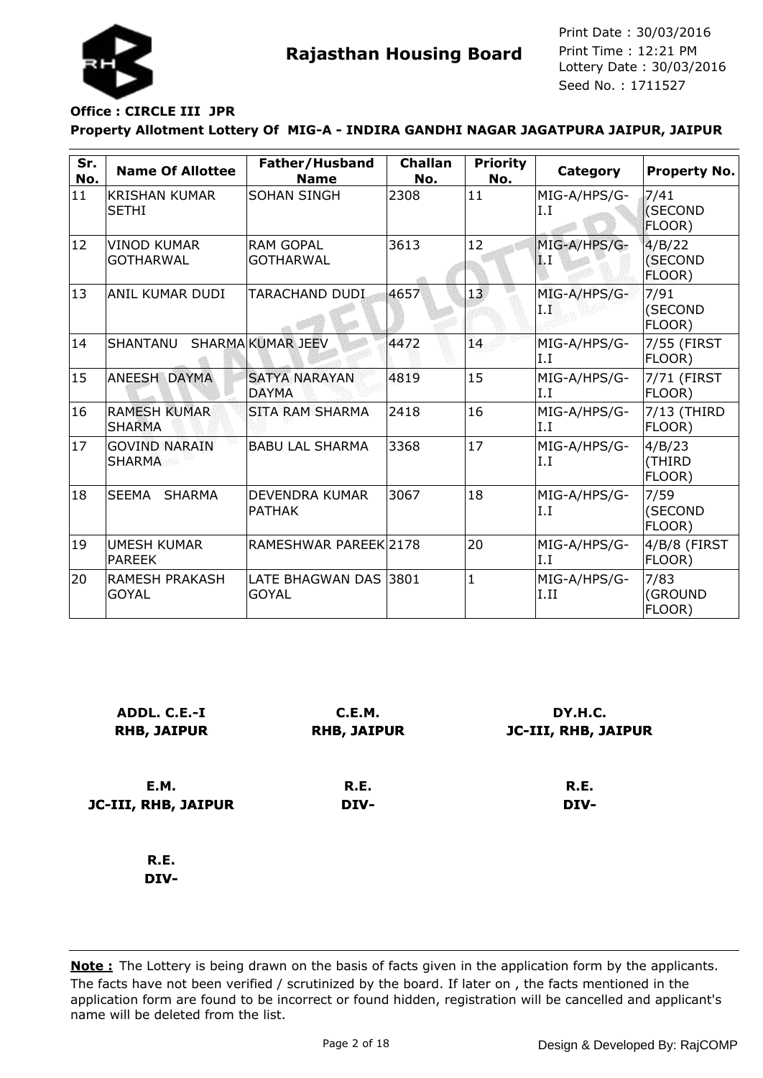

# **Office : CIRCLE III JPR**

#### **Property Allotment Lottery Of MIG-A - INDIRA GANDHI NAGAR JAGATPURA JAIPUR, JAIPUR**

| Sr.<br>No. | <b>Name Of Allottee</b>                | Father/Husband<br><b>Name</b>        | <b>Challan</b><br>No. | <b>Priority</b><br>No. | Category             | <b>Property No.</b>         |
|------------|----------------------------------------|--------------------------------------|-----------------------|------------------------|----------------------|-----------------------------|
| 11         | <b>KRISHAN KUMAR</b><br><b>SETHI</b>   | <b>SOHAN SINGH</b>                   | 2308                  | 11                     | MIG-A/HPS/G-<br>I.I  | 7/41<br>(SECOND<br>FLOOR)   |
| 12         | <b>VINOD KUMAR</b><br><b>GOTHARWAL</b> | <b>RAM GOPAL</b><br><b>GOTHARWAL</b> | 3613                  | 12                     | MIG-A/HPS/G-<br>4. I | 4/B/22<br>(SECOND<br>FLOOR) |
| 13         | ANIL KUMAR DUDI                        | TARACHAND DUDI                       | 4657                  | 13 <sup>7</sup>        | MIG-A/HPS/G-<br>ТĽ   | 7/91<br>(SECOND<br>FLOOR)   |
| 14         | SHANTANU                               | SHARMA KUMAR JEEV                    | 4472                  | 14                     | MIG-A/HPS/G-<br>I.I  | 7/55 (FIRST<br>FLOOR)       |
| 15         | ANEESH DAYMA                           | <b>SATYA NARAYAN</b><br><b>DAYMA</b> | 4819                  | 15                     | MIG-A/HPS/G-<br>I.I  | 7/71 (FIRST<br>FLOOR)       |
| 16         | <b>RAMESH KUMAR</b><br><b>SHARMA</b>   | <b>SITA RAM SHARMA</b>               | 2418                  | 16                     | MIG-A/HPS/G-<br>I.I  | 7/13 (THIRD<br>FLOOR)       |
| 17         | <b>GOVIND NARAIN</b><br><b>SHARMA</b>  | <b>BABU LAL SHARMA</b>               | 3368                  | 17                     | MIG-A/HPS/G-<br>I.I  | 4/B/23<br>(THIRD<br>FLOOR)  |
| 18         | SEEMA<br><b>SHARMA</b>                 | DEVENDRA KUMAR<br><b>PATHAK</b>      | 3067                  | 18                     | MIG-A/HPS/G-<br>I.I  | 7/59<br>(SECOND<br>FLOOR)   |
| 19         | <b>UMESH KUMAR</b><br><b>PAREEK</b>    | RAMESHWAR PAREEK 2178                |                       | 20                     | MIG-A/HPS/G-<br>I.I  | 4/B/8 (FIRST<br>FLOOR)      |
| 20         | <b>RAMESH PRAKASH</b><br><b>GOYAL</b>  | LATE BHAGWAN DAS<br><b>GOYAL</b>     | 3801                  | $\mathbf{1}$           | MIG-A/HPS/G-<br>I.II | 7/83<br>(GROUND<br>FLOOR)   |

| ADDL. C.E.-I        | C.E.M.             | DY.H.C.             |
|---------------------|--------------------|---------------------|
| <b>RHB, JAIPUR</b>  | <b>RHB, JAIPUR</b> | JC-III, RHB, JAIPUR |
| E.M.                | R.E.               | R.E.                |
| JC-III, RHB, JAIPUR | DIV-               | DIV-                |
| R.E.<br>DIV-        |                    |                     |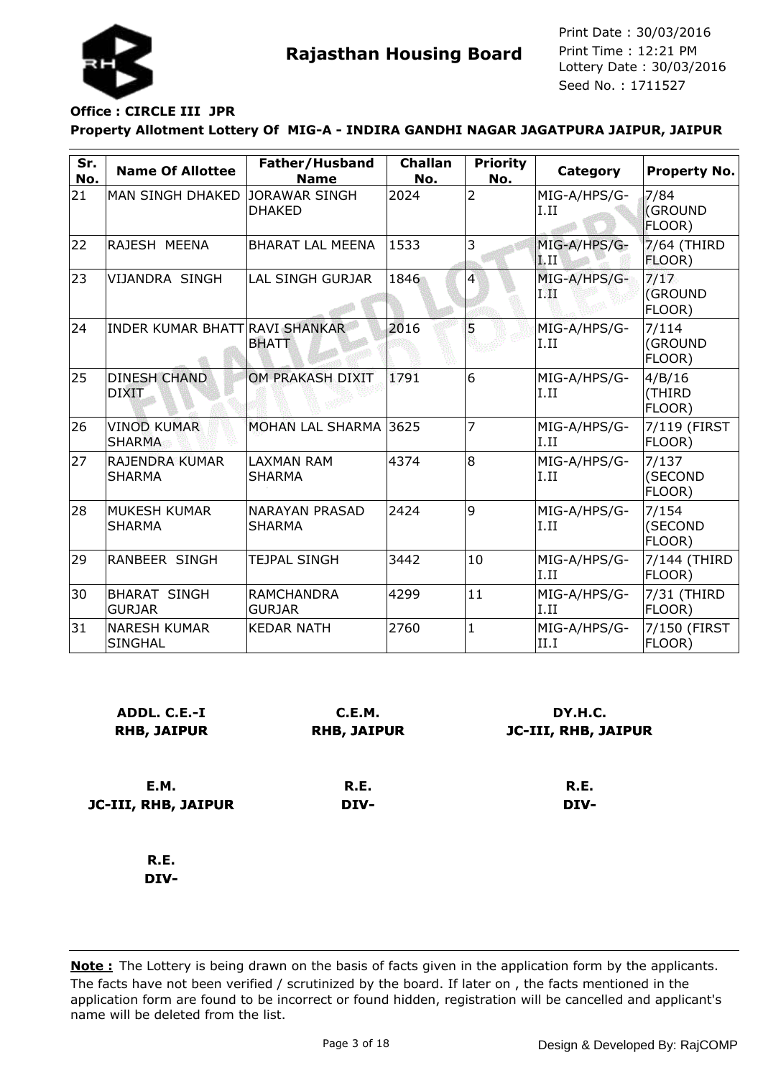

# **Office : CIRCLE III JPR**

#### **Property Allotment Lottery Of MIG-A - INDIRA GANDHI NAGAR JAGATPURA JAIPUR, JAIPUR**

| Sr.<br>No. | <b>Name Of Allottee</b>                | Father/Husband<br><b>Name</b>          | <b>Challan</b><br>No. | <b>Priority</b><br>No. | Category               | <b>Property No.</b>              |
|------------|----------------------------------------|----------------------------------------|-----------------------|------------------------|------------------------|----------------------------------|
| 21         | <b>MAN SINGH DHAKED</b>                | <b>JORAWAR SINGH</b><br><b>DHAKED</b>  | 2024                  | $\overline{2}$         | MIG-A/HPS/G-<br>I.II   | 7/84<br><b>(GROUND</b><br>FLOOR) |
| 22         | RAJESH MEENA                           | <b>BHARAT LAL MEENA</b>                | 1533                  | 3                      | MIG-A/HPS/G-<br>li. II | 7/64 (THIRD<br>FLOOR)            |
| 23         | VIJANDRA SINGH                         | LAL SINGH GURJAR                       | 1846                  | $\overline{4}$         | MIG-A/HPS/G-<br>ГØ     | 7/17<br>(GROUND<br>FLOOR)        |
| 24         | INDER KUMAR BHATT RAVI SHANKAR         | <b>BHATT</b>                           | 2016                  | 5                      | MIG-A/HPS/G-<br>I.II   | 7/114<br>(GROUND<br>FLOOR)       |
| 25         | <b>DINESH CHAND</b><br><b>DIXIT</b>    | OM PRAKASH DIXIT                       | 1791                  | 6                      | MIG-A/HPS/G-<br>I.II   | 4/B/16<br>(THIRD<br>FLOOR)       |
| 26         | <b>VINOD KUMAR</b><br><b>SHARMA</b>    | MOHAN LAL SHARMA                       | 3625                  | $\overline{7}$         | MIG-A/HPS/G-<br>I.II   | 7/119 (FIRST<br>FLOOR)           |
| 27         | <b>RAJENDRA KUMAR</b><br><b>SHARMA</b> | <b>LAXMAN RAM</b><br><b>SHARMA</b>     | 4374                  | 8                      | MIG-A/HPS/G-<br>I.II   | 7/137<br>(SECOND<br>FLOOR)       |
| 28         | MUKESH KUMAR<br><b>SHARMA</b>          | <b>NARAYAN PRASAD</b><br><b>SHARMA</b> | 2424                  | $\overline{9}$         | MIG-A/HPS/G-<br>I.II   | 7/154<br>(SECOND<br>FLOOR)       |
| 29         | RANBEER SINGH                          | <b>TEJPAL SINGH</b>                    | 3442                  | 10                     | MIG-A/HPS/G-<br>I.II   | 7/144 (THIRD<br>FLOOR)           |
| 30         | <b>BHARAT SINGH</b><br><b>GURJAR</b>   | <b>RAMCHANDRA</b><br><b>GURJAR</b>     | 4299                  | 11                     | MIG-A/HPS/G-<br>I.II   | 7/31 (THIRD<br>FLOOR)            |
| 31         | <b>NARESH KUMAR</b><br><b>SINGHAL</b>  | <b>KEDAR NATH</b>                      | 2760                  | $\mathbf{1}$           | MIG-A/HPS/G-<br>II.I   | 7/150 (FIRST<br>FLOOR)           |

| ADDL. C.E.-I<br><b>RHB, JAIPUR</b> | C.E.M.<br><b>RHB, JAIPUR</b> | DY.H.C.<br><b>JC-III, RHB, JAIPUR</b> |
|------------------------------------|------------------------------|---------------------------------------|
| E.M.                               | R.E.                         | R.E.                                  |
| <b>JC-III, RHB, JAIPUR</b>         | DIV-                         | DIV-                                  |
| R.E.                               |                              |                                       |

**DIV-**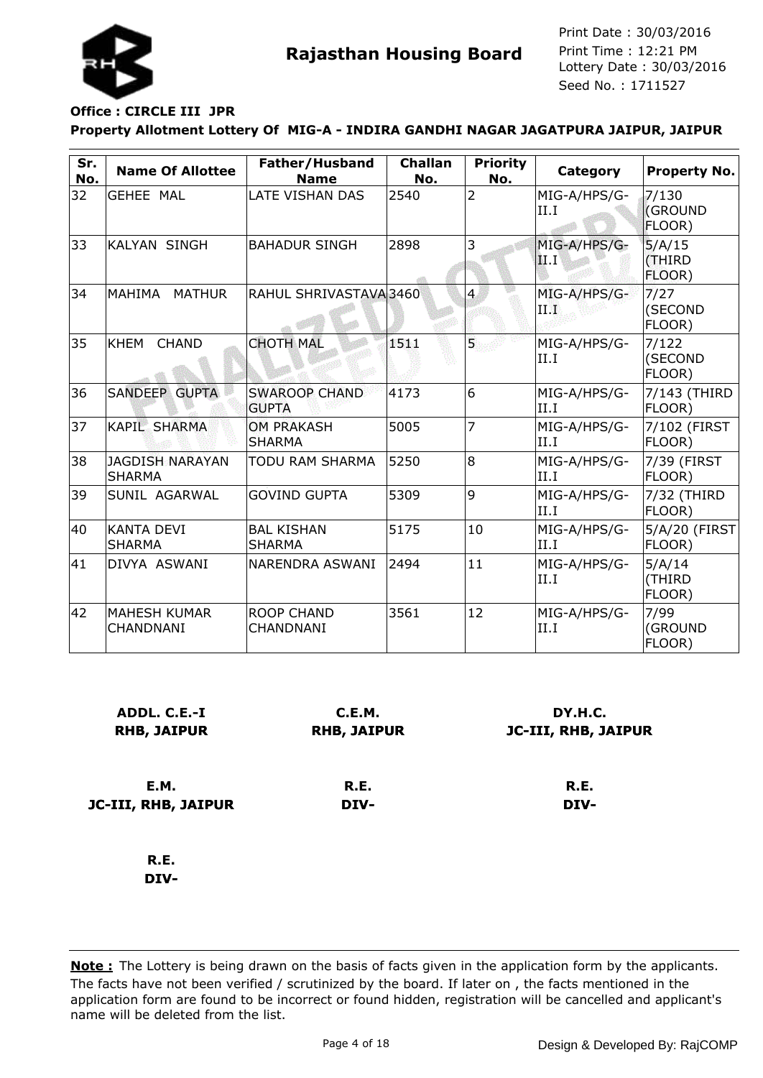

# **Office : CIRCLE III JPR**

**Property Allotment Lottery Of MIG-A - INDIRA GANDHI NAGAR JAGATPURA JAIPUR, JAIPUR**

| Sr.<br>No. | <b>Name Of Allottee</b>                 | Father/Husband<br><b>Name</b>         | <b>Challan</b><br>No. | <b>Priority</b><br>No. | Category              | <b>Property No.</b>               |
|------------|-----------------------------------------|---------------------------------------|-----------------------|------------------------|-----------------------|-----------------------------------|
| 32         | <b>GEHEE MAL</b>                        | LATE VISHAN DAS                       | 2540                  | $\overline{2}$         | MIG-A/HPS/G-<br>II.I  | 7/130<br><b>(GROUND</b><br>FLOOR) |
| 33         | <b>KALYAN SINGH</b>                     | <b>BAHADUR SINGH</b>                  | 2898                  | 3                      | MIG-A/HPS/G-<br> II.I | 5/A/15<br>(THIRD<br>FLOOR)        |
| 34         | MAHIMA<br><b>MATHUR</b>                 | RAHUL SHRIVASTAVA3460                 |                       | $\overline{4}$         | MIG-A/HPS/G-<br>ПD    | 7/27<br>(SECOND<br>FLOOR)         |
| 35         | <b>KHEM</b><br><b>CHAND</b>             | <b>CHOTH MAL</b>                      | 151.                  | Ŝ.                     | MIG-A/HPS/G-<br>II.I  | 7/122<br>(SECOND<br>FLOOR)        |
| 36         | <b>SANDEEP GUPTA</b>                    | <b>SWAROOP CHAND</b><br><b>GUPTA</b>  | 4173                  | 6                      | MIG-A/HPS/G-<br>II.I  | 7/143 (THIRD<br>FLOOR)            |
| 37         | <b>KAPIL SHARMA</b>                     | <b>OM PRAKASH</b><br><b>SHARMA</b>    | 5005                  | $\overline{7}$         | MIG-A/HPS/G-<br>II.I  | 7/102 (FIRST<br>FLOOR)            |
| 38         | <b>JAGDISH NARAYAN</b><br><b>SHARMA</b> | TODU RAM SHARMA                       | 5250                  | $\overline{8}$         | MIG-A/HPS/G-<br>II.I  | 7/39 (FIRST<br>FLOOR)             |
| 39         | SUNIL AGARWAL                           | <b>GOVIND GUPTA</b>                   | 5309                  | 9                      | MIG-A/HPS/G-<br>II.I  | 7/32 (THIRD<br>FLOOR)             |
| 40         | <b>KANTA DEVI</b><br><b>SHARMA</b>      | <b>BAL KISHAN</b><br><b>SHARMA</b>    | 5175                  | 10                     | MIG-A/HPS/G-<br>II.I  | 5/A/20 (FIRST<br>FLOOR)           |
| 41         | DIVYA ASWANI                            | NARENDRA ASWANI                       | 2494                  | 11                     | MIG-A/HPS/G-<br>II.I  | 5/A/14<br>(THIRD<br>FLOOR)        |
| 42         | <b>MAHESH KUMAR</b><br>CHANDNANI        | <b>ROOP CHAND</b><br><b>CHANDNANI</b> | 3561                  | 12                     | MIG-A/HPS/G-<br>II.I  | 7/99<br>(GROUND<br>FLOOR)         |

| ADDL. C.E.-I<br><b>RHB, JAIPUR</b> | C.E.M.<br><b>RHB, JAIPUR</b> | DY.H.C.<br><b>JC-III, RHB, JAIPUR</b> |
|------------------------------------|------------------------------|---------------------------------------|
| <b>E.M.</b>                        | R.E.                         | R.E.                                  |
| JC-III, RHB, JAIPUR                | DIV-                         | DIV-                                  |
| R.E.                               |                              |                                       |

**DIV-**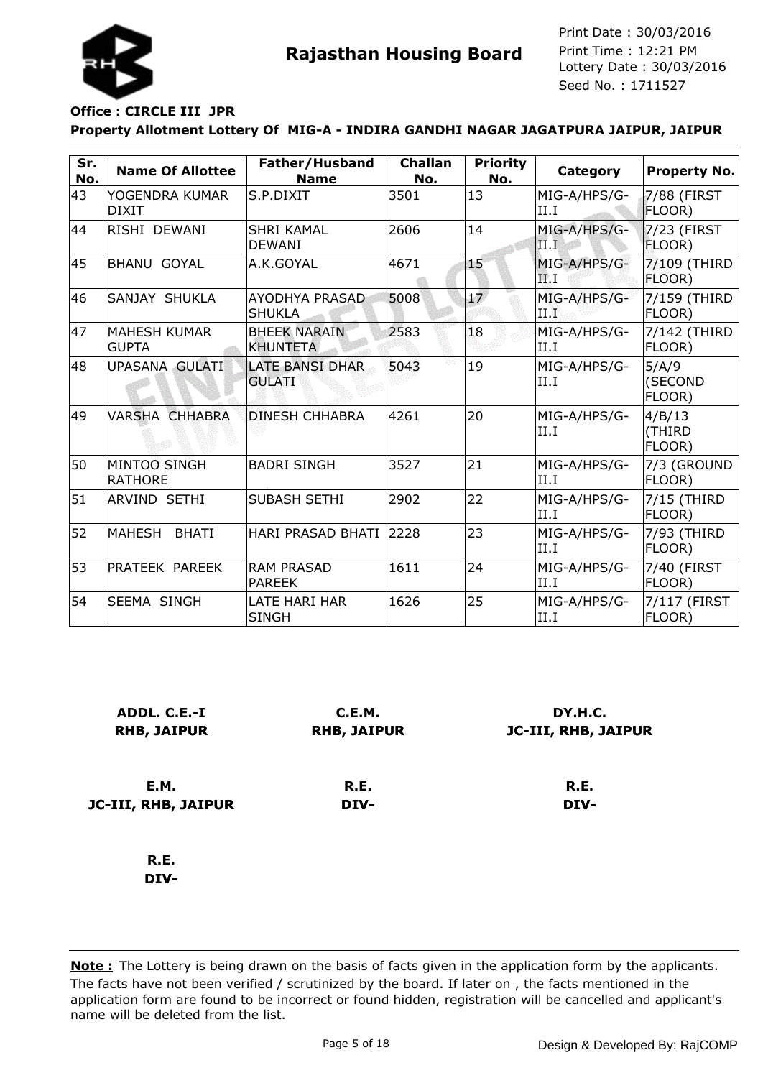

## **Office : CIRCLE III JPR**

#### **Property Allotment Lottery Of MIG-A - INDIRA GANDHI NAGAR JAGATPURA JAIPUR, JAIPUR**

| Sr.<br>No. | <b>Name Of Allottee</b>             | Father/Husband<br><b>Name</b>           | <b>Challan</b><br>No. | <b>Priority</b><br>No. | Category              | <b>Property No.</b>           |
|------------|-------------------------------------|-----------------------------------------|-----------------------|------------------------|-----------------------|-------------------------------|
| 43         | YOGENDRA KUMAR<br><b>DIXIT</b>      | <b>S.P.DIXIT</b>                        | 3501                  | 13                     | MIG-A/HPS/G-<br>II.I  | 7/88 (FIRST<br><b>FLOOR</b> ) |
| 44         | RISHI DEWANI                        | <b>SHRI KAMAL</b><br><b>DEWANI</b>      | 2606                  | 14                     | MIG-A/HPS/G-<br>III.I | $7/23$ (FIRST<br>FLOOR)       |
| 45         | <b>BHANU GOYAL</b>                  | A.K.GOYAL                               | 4671                  | 15                     | MIG-A/HPS/G-<br>FP. I | 7/109 (THIRD<br>FLOOR)        |
| 46         | SANJAY SHUKLA                       | <b>AYODHYA PRASAD</b><br><b>SHUKLA</b>  | 5008                  | $\overline{17}$        | MIG-A/HPS/G-<br>ПÄ    | 7/159 (THIRD<br>FLOOR)        |
| 47         | <b>MAHESH KUMAR</b><br><b>GUPTA</b> | <b>BHEEK NARAIN</b><br><b>KHUNTETA</b>  | 2583                  | 18                     | MIG-A/HPS/G-<br>II.I  | 7/142 (THIRD<br>FLOOR)        |
| 48         | <b>UPASANA GULATI</b>               | <b>LATE BANSI DHAR</b><br><b>GULATI</b> | 5043                  | 19                     | MIG-A/HPS/G-<br>II.I  | 5/A/9<br>(SECOND<br>FLOOR)    |
| 49         | <b>VARSHA CHHABRA</b>               | <b>DINESH CHHABRA</b>                   | 4261                  | 20                     | MIG-A/HPS/G-<br>II.I  | 4/B/13<br>(THIRD<br>FLOOR)    |
| 50         | MINTOO SINGH<br><b>RATHORE</b>      | <b>BADRI SINGH</b>                      | 3527                  | 21                     | MIG-A/HPS/G-<br>II.I  | 7/3 (GROUND<br>FLOOR)         |
| 51         | <b>ARVIND SETHI</b>                 | <b>SUBASH SETHI</b>                     | 2902                  | 22                     | MIG-A/HPS/G-<br>II.I  | 7/15 (THIRD<br>FLOOR)         |
| 52         | MAHESH<br><b>BHATI</b>              | <b>HARI PRASAD BHATI</b>                | 2228                  | 23                     | MIG-A/HPS/G-<br>II.I  | 7/93 (THIRD<br>FLOOR)         |
| 53         | PRATEEK PAREEK                      | <b>RAM PRASAD</b><br><b>PAREEK</b>      | 1611                  | 24                     | MIG-A/HPS/G-<br>II.I  | 7/40 (FIRST<br>FLOOR)         |
| 54         | <b>SEEMA SINGH</b>                  | LATE HARI HAR<br><b>SINGH</b>           | 1626                  | 25                     | MIG-A/HPS/G-<br>II.I  | 7/117 (FIRST<br>FLOOR)        |

| ADDL. C.E.-I<br><b>RHB, JAIPUR</b> | C.E.M.<br><b>RHB, JAIPUR</b> | DY.H.C.<br><b>JC-III, RHB, JAIPUR</b> |
|------------------------------------|------------------------------|---------------------------------------|
| E.M.                               | R.E.                         | R.E.                                  |
| JC-III, RHB, JAIPUR                | DIV-                         | DIV-                                  |
| R.E.                               |                              |                                       |
| DIV-                               |                              |                                       |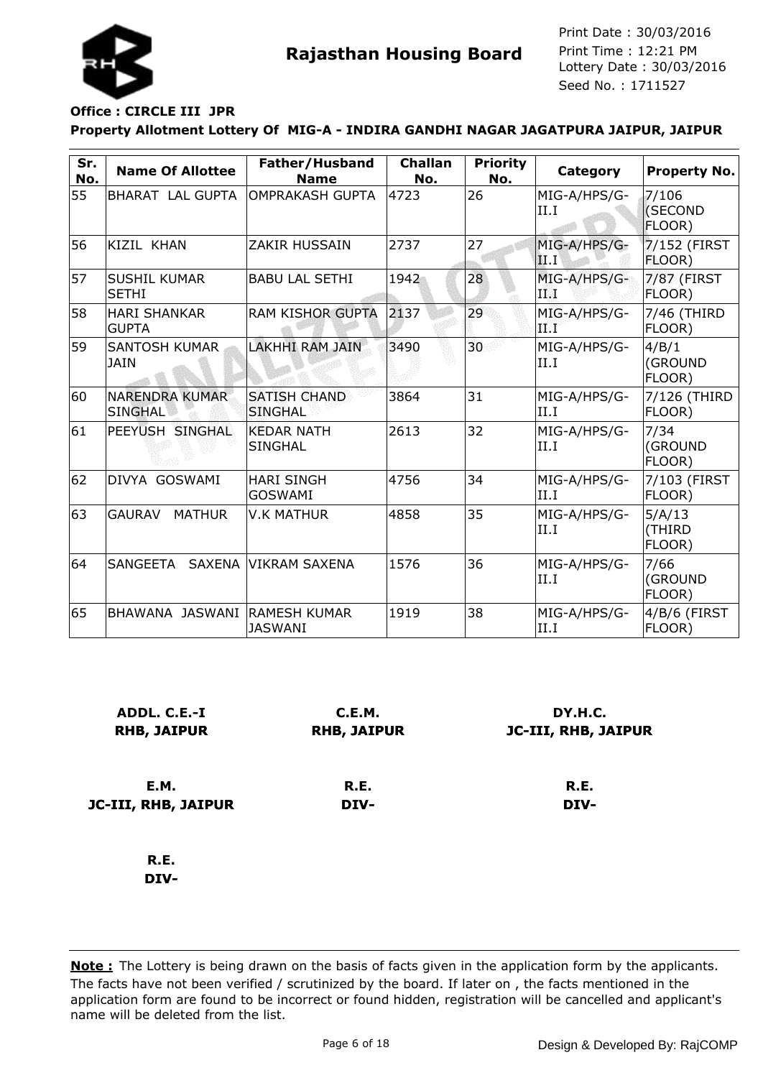

# **Office : CIRCLE III JPR**

#### **Property Allotment Lottery Of MIG-A - INDIRA GANDHI NAGAR JAGATPURA JAIPUR, JAIPUR**

| Sr.<br>No. | <b>Name Of Allottee</b>                 | Father/Husband<br><b>Name</b>         | <b>Challan</b><br>No. | <b>Priority</b><br>No. | Category              | <b>Property No.</b>        |
|------------|-----------------------------------------|---------------------------------------|-----------------------|------------------------|-----------------------|----------------------------|
| 55         | BHARAT LAL GUPTA                        | IOMPRAKASH GUPTA                      | 4723                  | 26                     | MIG-A/HPS/G-<br>II.I  | 7/106<br>(SECOND<br>FLOOR) |
| 56         | KIZIL KHAN                              | ZAKIR HUSSAIN                         | 2737                  | 27                     | MIG-A/HPS/G-<br> II.I | 7/152 (FIRST<br>FLOOR)     |
| 57         | <b>SUSHIL KUMAR</b><br><b>SETHI</b>     | <b>BABU LAL SETHI</b>                 | 1942                  | 28                     | MIG-A/HPS/G-<br>ПÅ    | 7/87 (FIRST<br>FLOOR)      |
| 58         | <b>HARI SHANKAR</b><br><b>GUPTA</b>     | <b>RAM KISHOR GUPTA</b>               | 2137                  | 29                     | MIG-A/HPS/G-<br>9.FF  | 7/46 (THIRD<br>FLOOR)      |
| 59         | <b>SANTOSH KUMAR</b><br><b>JAIN</b>     | <b>LAKHHI RAM JAIN</b>                | 3490                  | 30                     | MIG-A/HPS/G-<br>II.I  | 4/B/1<br>(GROUND<br>FLOOR) |
| 60         | <b>NARENDRA KUMAR</b><br><b>SINGHAL</b> | <b>SATISH CHAND</b><br><b>SINGHAL</b> | 3864                  | 31                     | MIG-A/HPS/G-<br>II.I  | 7/126 (THIRD<br>FLOOR)     |
| 61         | PEEYUSH SINGHAL                         | <b>KEDAR NATH</b><br><b>SINGHAL</b>   | 2613                  | 32                     | MIG-A/HPS/G-<br>II.I  | 7/34<br>(GROUND<br>FLOOR)  |
| 62         | DIVYA GOSWAMI                           | <b>HARI SINGH</b><br><b>GOSWAMI</b>   | 4756                  | 34                     | MIG-A/HPS/G-<br>II.I  | 7/103 (FIRST<br>FLOOR)     |
| 63         | <b>GAURAV</b><br><b>MATHUR</b>          | <b>V.K MATHUR</b>                     | 4858                  | 35                     | MIG-A/HPS/G-<br>II.I  | 5/A/13<br>(THIRD<br>FLOOR) |
| 64         | SANGEETA SAXENA VIKRAM SAXENA           |                                       | 1576                  | 36                     | MIG-A/HPS/G-<br>II.I  | 7/66<br>(GROUND<br>FLOOR)  |
| 65         | BHAWANA JASWANI RAMESH KUMAR            | <b>JASWANI</b>                        | 1919                  | 38                     | MIG-A/HPS/G-<br>II.I  | 4/B/6 (FIRST<br>FLOOR)     |

| ADDL. C.E.-I<br><b>RHB, JAIPUR</b> | C.E.M.<br><b>RHB, JAIPUR</b> | DY.H.C.<br><b>JC-III, RHB, JAIPUR</b> |
|------------------------------------|------------------------------|---------------------------------------|
| E.M.                               | R.E.                         | R.E.                                  |
| JC-III, RHB, JAIPUR                | DIV-                         | DIV-                                  |
| R.E.                               |                              |                                       |

**DIV-**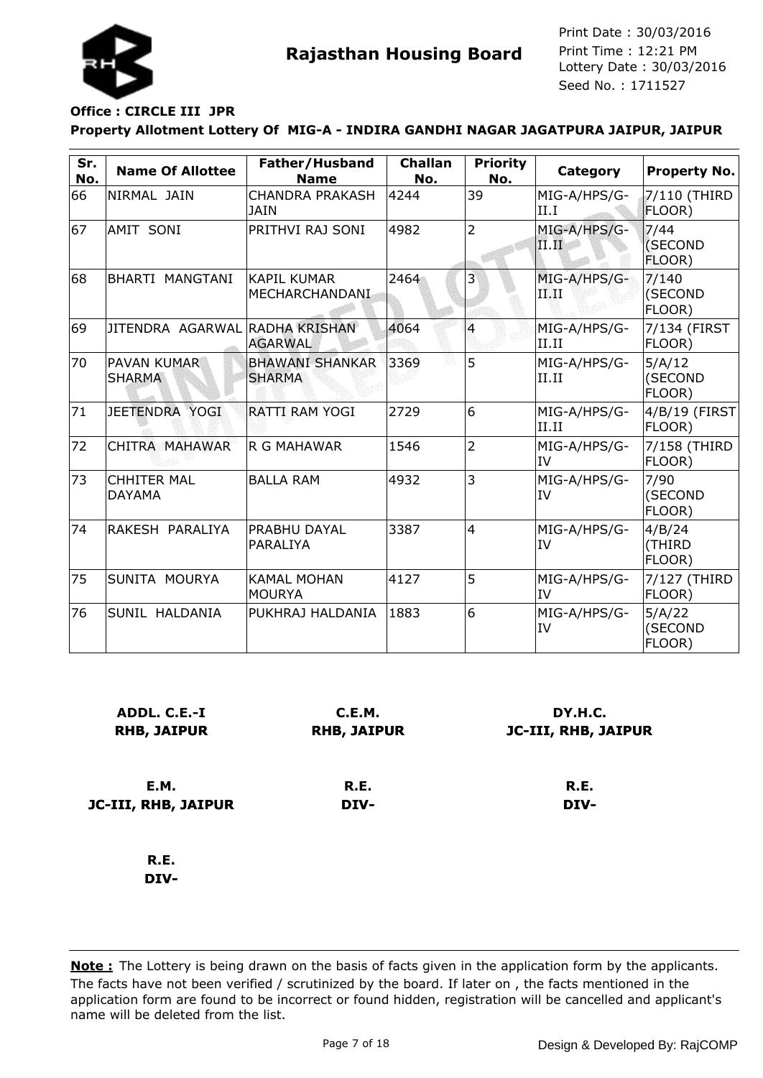

# **Office : CIRCLE III JPR**

**Property Allotment Lottery Of MIG-A - INDIRA GANDHI NAGAR JAGATPURA JAIPUR, JAIPUR**

| Sr.<br>No. | <b>Name Of Allottee</b>             | Father/Husband<br><b>Name</b>           | <b>Challan</b><br>No. | <b>Priority</b><br>No. | Category                  | <b>Property No.</b>         |
|------------|-------------------------------------|-----------------------------------------|-----------------------|------------------------|---------------------------|-----------------------------|
| 66         | NIRMAL JAIN                         | <b>CHANDRA PRAKASH</b><br><b>JAIN</b>   | 4244                  | 39                     | MIG-A/HPS/G-<br>II.I      | 7/110 (THIRD<br>FLOOR)      |
| 67         | AMIT SONI                           | PRITHVI RAJ SONI                        | 4982                  | $\overline{2}$         | MIG-A/HPS/G-<br>II.II     | 7/44<br>(SECOND<br>FLOOR)   |
| 68         | BHARTI MANGTANI                     | <b>KAPIL KUMAR</b><br>MECHARCHANDANI    | 2464                  | 3                      | MIG-A/HPS/G-<br>IMI       | 7/140<br>(SECOND<br>FLOOR)  |
| 69         | JITENDRA AGARWAL RADHA KRISHAN      | <b>AGARWAL</b>                          | 4064                  | 4                      | MIG-A/HPS/G-<br>II.II     | 7/134 (FIRST<br>FLOOR)      |
| 70         | PAVAN KUMAR<br><b>SHARMA</b>        | <b>BHAWANI SHANKAR</b><br><b>SHARMA</b> | 3369                  | 5                      | MIG-A/HPS/G-<br>II.II     | 5/A/12<br>(SECOND<br>FLOOR) |
| 71         | JEETENDRA YOGI                      | <b>RATTI RAM YOGI</b>                   | 2729                  | 6                      | MIG-A/HPS/G-<br>II.II     | 4/B/19 (FIRST<br>FLOOR)     |
| 72         | CHITRA MAHAWAR                      | <b>R G MAHAWAR</b>                      | 1546                  | $\overline{2}$         | MIG-A/HPS/G-<br>IV        | 7/158 (THIRD<br>FLOOR)      |
| 73         | <b>CHHITER MAL</b><br><b>DAYAMA</b> | <b>BALLA RAM</b>                        | 4932                  | 3                      | MIG-A/HPS/G-<br><b>IV</b> | 7/90<br>(SECOND<br>FLOOR)   |
| 74         | RAKESH PARALIYA                     | <b>PRABHU DAYAL</b><br>PARALIYA         | 3387                  | $\overline{4}$         | MIG-A/HPS/G-<br>IV        | 4/B/24<br>(THIRD<br>FLOOR)  |
| 75         | SUNITA MOURYA                       | <b>KAMAL MOHAN</b><br>IMOURYA           | 4127                  | 5                      | MIG-A/HPS/G-<br>IV        | 7/127 (THIRD<br>FLOOR)      |
| 76         | SUNIL HALDANIA                      | PUKHRAJ HALDANIA                        | 1883                  | 6                      | MIG-A/HPS/G-<br>IV        | 5/A/22<br>(SECOND<br>FLOOR) |

| ADDL. C.E.-I<br><b>RHB, JAIPUR</b> | C.E.M.<br><b>RHB, JAIPUR</b> | DY.H.C.<br>JC-III, RHB, JAIPUR |  |
|------------------------------------|------------------------------|--------------------------------|--|
| <b>E.M.</b>                        | R.E.                         | R.E.                           |  |
| <b>JC-III, RHB, JAIPUR</b>         | DIV-                         | DIV-                           |  |
| R.E.                               |                              |                                |  |
| DIV-                               |                              |                                |  |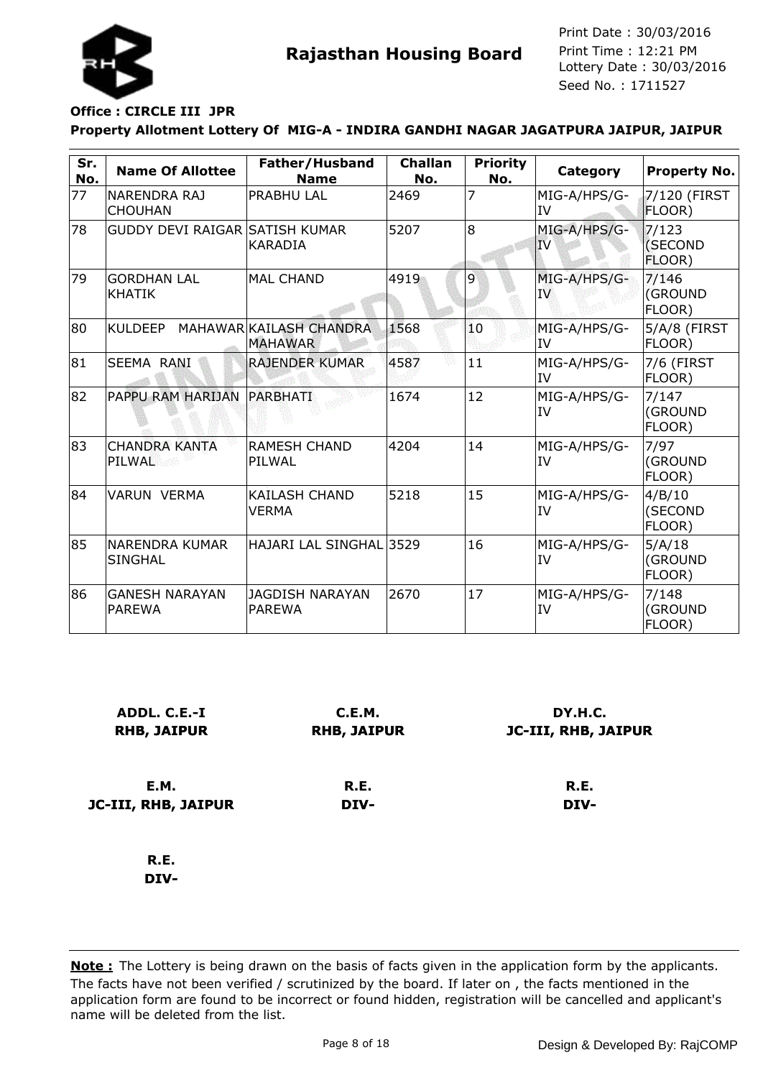

# **Office : CIRCLE III JPR**

#### **Property Allotment Lottery Of MIG-A - INDIRA GANDHI NAGAR JAGATPURA JAIPUR, JAIPUR**

| Sr.<br>No. | <b>Name Of Allottee</b>                | Father/Husband<br><b>Name</b>             | <b>Challan</b><br>No. | <b>Priority</b><br>No. | Category                  | <b>Property No.</b>         |
|------------|----------------------------------------|-------------------------------------------|-----------------------|------------------------|---------------------------|-----------------------------|
| 77         | NARENDRA RAJ<br><b>CHOUHAN</b>         | <b>PRABHU LAL</b>                         | 2469                  | 7                      | MIG-A/HPS/G-<br>IV        | 7/120 (FIRST<br>FLOOR)      |
| 78         | <b>GUDDY DEVI RAIGAR SATISH KUMAR</b>  | <b>KARADIA</b>                            | 5207                  | $\overline{8}$         | MIG-A/HPS/G-<br>IV        | 7/123<br>(SECOND<br>FLOOR)  |
| 79         | <b>GORDHAN LAL</b><br><b>KHATIK</b>    | <b>MAL CHAND</b>                          | 4919                  | 9                      | MIG-A/HPS/G-<br>IV        | 7/146<br>(GROUND<br>FLOOR)  |
| 80         | KULDEEP                                | MAHAWAR KAILASH CHANDRA<br><b>MAHAWAR</b> | 1568                  | 10                     | MIG-A/HPS/G-<br><b>IV</b> | 5/A/8 (FIRST<br>FLOOR)      |
| 81         | SEEMA RANI                             | <b>RAJENDER KUMAR</b>                     | 4587                  | 11                     | MIG-A/HPS/G-<br><b>IV</b> | 7/6 (FIRST<br>FLOOR)        |
| 82         | PAPPU RAM HARIJAN                      | PARBHATI                                  | 1674                  | 12                     | MIG-A/HPS/G-<br><b>IV</b> | 7/147<br>(GROUND<br>FLOOR)  |
| 83         | <b>CHANDRA KANTA</b><br>PILWAL         | <b>RAMESH CHAND</b><br>PILWAL             | 4204                  | 14                     | MIG-A/HPS/G-<br>IV        | 7/97<br>(GROUND<br>FLOOR)   |
| 84         | <b>VARUN VERMA</b>                     | <b>KAILASH CHAND</b><br><b>VERMA</b>      | 5218                  | 15                     | MIG-A/HPS/G-<br>IV        | 4/B/10<br>(SECOND<br>FLOOR) |
| 85         | NARENDRA KUMAR<br><b>SINGHAL</b>       | HAJARI LAL SINGHAL 3529                   |                       | 16                     | MIG-A/HPS/G-<br>IV        | 5/A/18<br>(GROUND<br>FLOOR) |
| 86         | <b>GANESH NARAYAN</b><br><b>PAREWA</b> | <b>JAGDISH NARAYAN</b><br><b>PAREWA</b>   | 2670                  | 17                     | MIG-A/HPS/G-<br>IV        | 7/148<br>(GROUND<br>FLOOR)  |

| ADDL. C.E.-I<br><b>RHB, JAIPUR</b> | C.E.M.<br><b>RHB, JAIPUR</b> | DY.H.C.<br><b>JC-III, RHB, JAIPUR</b> |
|------------------------------------|------------------------------|---------------------------------------|
| E.M.                               | R.E.                         | R.E.                                  |
| JC-III, RHB, JAIPUR                | DIV-                         | DIV-                                  |
| R.E.<br>----                       |                              |                                       |

**DIV-**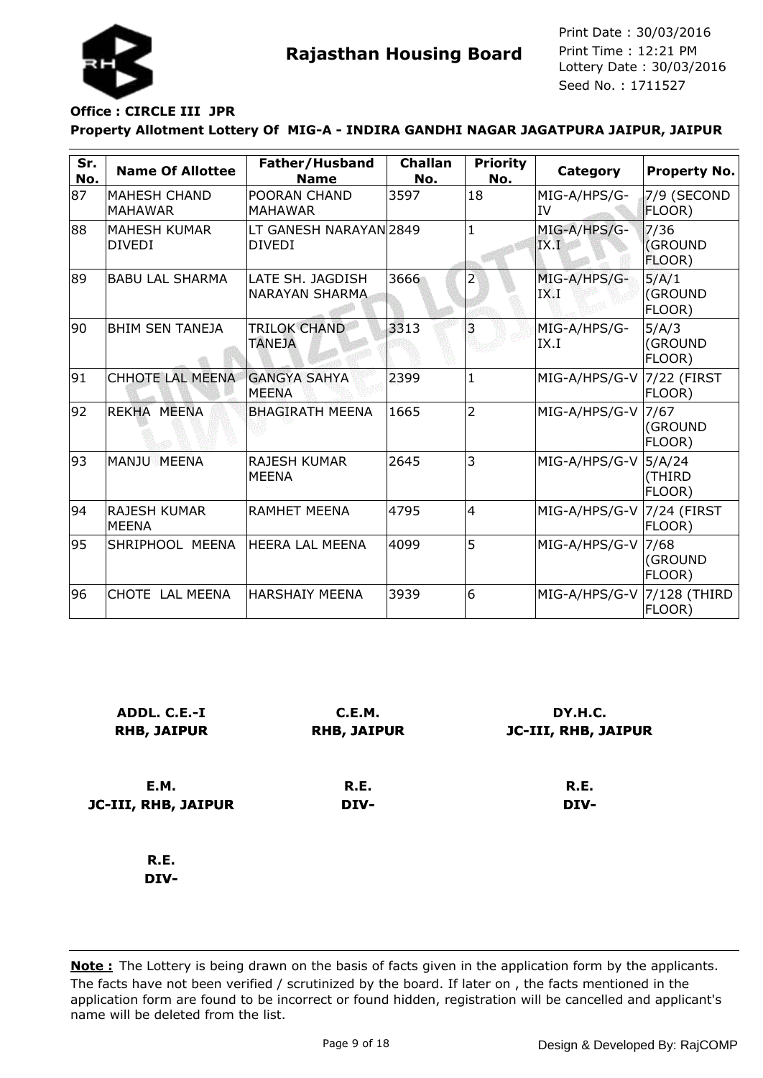

### **Office : CIRCLE III JPR**

#### **Property Allotment Lottery Of MIG-A - INDIRA GANDHI NAGAR JAGATPURA JAIPUR, JAIPUR**

| Sr.<br>No. | <b>Name Of Allottee</b>               | Father/Husband<br><b>Name</b>             | <b>Challan</b><br>No. | <b>Priority</b><br>No. | Category                   | <b>Property No.</b>        |
|------------|---------------------------------------|-------------------------------------------|-----------------------|------------------------|----------------------------|----------------------------|
| 87         | <b>MAHESH CHAND</b><br><b>MAHAWAR</b> | POORAN CHAND<br><b>MAHAWAR</b>            | 3597                  | 18                     | MIG-A/HPS/G-<br><b>IV</b>  | 7/9 (SECOND<br>FLOOR)      |
| 88         | <b>MAHESH KUMAR</b><br><b>DIVEDI</b>  | LT GANESH NARAYAN 2849<br><b>DIVEDI</b>   |                       | $\mathbf{1}$           | MIG-A/HPS/G-<br>IX.I       | 7/36<br>(GROUND<br>FLOOR)  |
| 89         | <b>BABULAL SHARMA</b>                 | LATE SH. JAGDISH<br><b>NARAYAN SHARMA</b> | 3666                  | 2                      | MIG-A/HPS/G-<br>IX.I       | 5/A/1<br>(GROUND<br>FLOOR) |
| 90         | <b>BHIM SEN TANEJA</b>                | <b>TRILOK CHAND</b><br><b>TANEJA</b>      | 3313                  | 3                      | MIG-A/HPS/G-<br>IX.I       | 5/A/3<br>(GROUND<br>FLOOR) |
| 91         | <b>CHHOTE LAL MEENA</b>               | <b>GANGYA SAHYA</b><br><b>MEENA</b>       | 2399                  | $\mathbf{1}$           | MIG-A/HPS/G-V              | 7/22 (FIRST<br>FLOOR)      |
| 92         | REKHA MEENA                           | <b>BHAGIRATH MEENA</b>                    | 1665                  | $\overline{2}$         | MIG-A/HPS/G-V              | 7/67<br>(GROUND<br>FLOOR)  |
| 93         | MANJU MEENA                           | <b>RAJESH KUMAR</b><br><b>MEENA</b>       | 2645                  | 3                      | MIG-A/HPS/G-V              | 5/A/24<br>(THIRD<br>FLOOR) |
| 94         | IRAJESH KUMAR<br><b>MEENA</b>         | <b>RAMHET MEENA</b>                       | 4795                  | $\overline{4}$         | MIG-A/HPS/G-V 7/24 (FIRST  | FLOOR)                     |
| 95         | SHRIPHOOL MEENA                       | <b>HEERA LAL MEENA</b>                    | 4099                  | 5                      | MIG-A/HPS/G-V              | 7/68<br>(GROUND<br>FLOOR)  |
| 96         | CHOTE LAL MEENA                       | <b>HARSHAIY MEENA</b>                     | 3939                  | 6                      | MIG-A/HPS/G-V 7/128 (THIRD | FLOOR)                     |

| ADDL. C.E.-I<br><b>RHB, JAIPUR</b> | C.E.M.<br><b>RHB, JAIPUR</b> | DY.H.C.<br><b>JC-III, RHB, JAIPUR</b> |
|------------------------------------|------------------------------|---------------------------------------|
| E.M.                               | R.E.                         | R.E.                                  |
| JC-III, RHB, JAIPUR                | DIV-                         | DIV-                                  |
| R.E.                               |                              |                                       |
| DIV-                               |                              |                                       |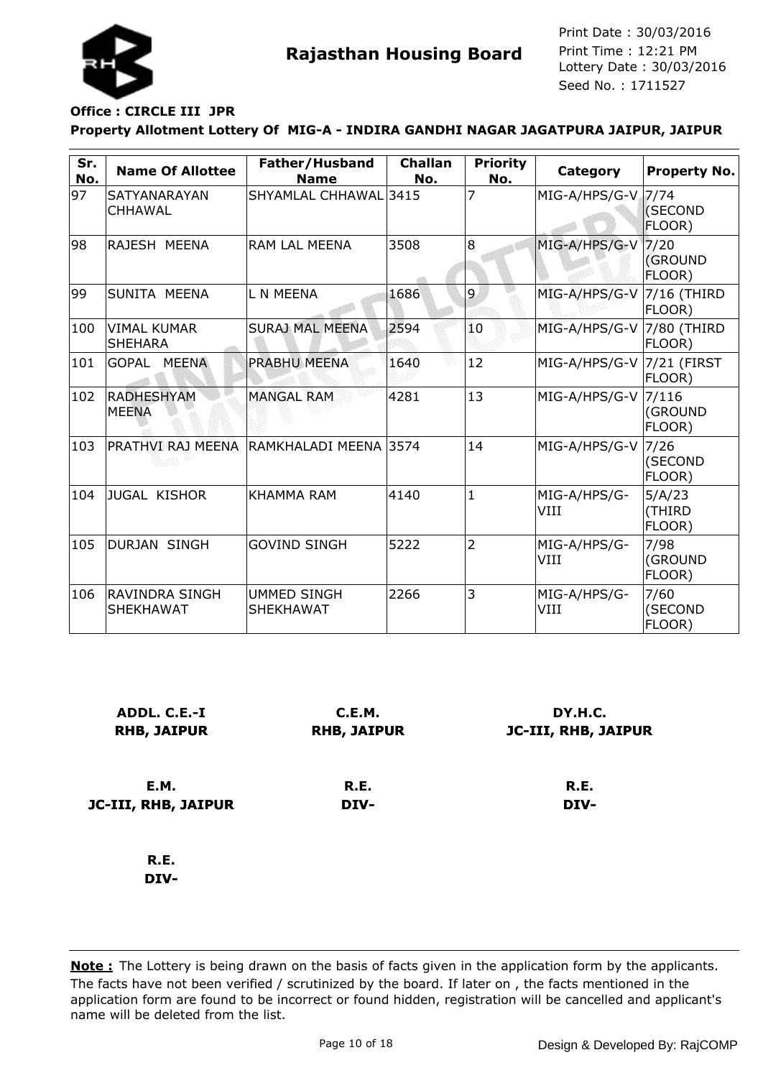

### **Office : CIRCLE III JPR**

#### **Property Allotment Lottery Of MIG-A - INDIRA GANDHI NAGAR JAGATPURA JAIPUR, JAIPUR**

| Sr.<br>No. | <b>Name Of Allottee</b>                   | Father/Husband<br><b>Name</b>          | <b>Challan</b><br>No. | <b>Priority</b><br>No. | Category                  | <b>Property No.</b>              |
|------------|-------------------------------------------|----------------------------------------|-----------------------|------------------------|---------------------------|----------------------------------|
| 97         | <b>SATYANARAYAN</b><br>CHHAWAL            | SHYAMLAL CHHAWAL 3415                  |                       | 7                      | MIG-A/HPS/G-V             | 17/74<br>(SECOND<br>FLOOR)       |
| 98         | RAJESH MEENA                              | <b>RAM LAL MEENA</b>                   | 3508                  | 8                      | MIG-A/HPS/G-V             | 7/20<br><b>(GROUND</b><br>FLOOR) |
| 99         | SUNITA MEENA                              | L N MEENA                              | 1686                  | 9                      | MIG-A/HPS/G-V             | $7/16$ (THIRD<br>FLOOR)          |
| 100        | <b>VIMAL KUMAR</b><br><b>SHEHARA</b>      | <b>SURAJ MAL MEENA</b>                 | 2594                  | 10                     | MIG-A/HPS/G-V 7/80 (THIRD | FLOOR)                           |
| 101        | GOPAL<br><b>MEENA</b>                     | <b>PRABHU MEENA</b>                    | 1640                  | 12                     | MIG-A/HPS/G-V             | $7/21$ (FIRST<br>FLOOR)          |
| 102        | <b>RADHESHYAM</b><br><b>MEENA</b>         | <b>MANGAL RAM</b>                      | 4281                  | 13                     | MIG-A/HPS/G-V             | 7/116<br>(GROUND<br>FLOOR)       |
| 103        | PRATHVI RAJ MEENA                         | RAMKHALADI MEENA 3574                  |                       | 14                     | MIG-A/HPS/G-V             | 7/26<br>(SECOND<br>FLOOR)        |
| 104        | <b>JUGAL KISHOR</b>                       | <b>KHAMMA RAM</b>                      | 4140                  | 1                      | MIG-A/HPS/G-<br>VIII      | 5/A/23<br>(THIRD<br>FLOOR)       |
| 105        | <b>DURJAN SINGH</b>                       | <b>GOVIND SINGH</b>                    | 5222                  | $\overline{2}$         | MIG-A/HPS/G-<br>VIII      | 7/98<br>(GROUND<br>FLOOR)        |
| 106        | <b>RAVINDRA SINGH</b><br><b>SHEKHAWAT</b> | <b>UMMED SINGH</b><br><b>SHEKHAWAT</b> | 2266                  | 3                      | MIG-A/HPS/G-<br>VIII      | 7/60<br>(SECOND<br>FLOOR)        |

| ADDL. C.E.-I<br><b>RHB, JAIPUR</b> | C.E.M.<br><b>RHB, JAIPUR</b> | DY.H.C.<br><b>JC-III, RHB, JAIPUR</b> |  |
|------------------------------------|------------------------------|---------------------------------------|--|
| <b>E.M.</b>                        | R.E.                         | R.E.                                  |  |
| JC-III, RHB, JAIPUR                | DIV-                         | DIV-                                  |  |
| R.E.                               |                              |                                       |  |
| DIV-                               |                              |                                       |  |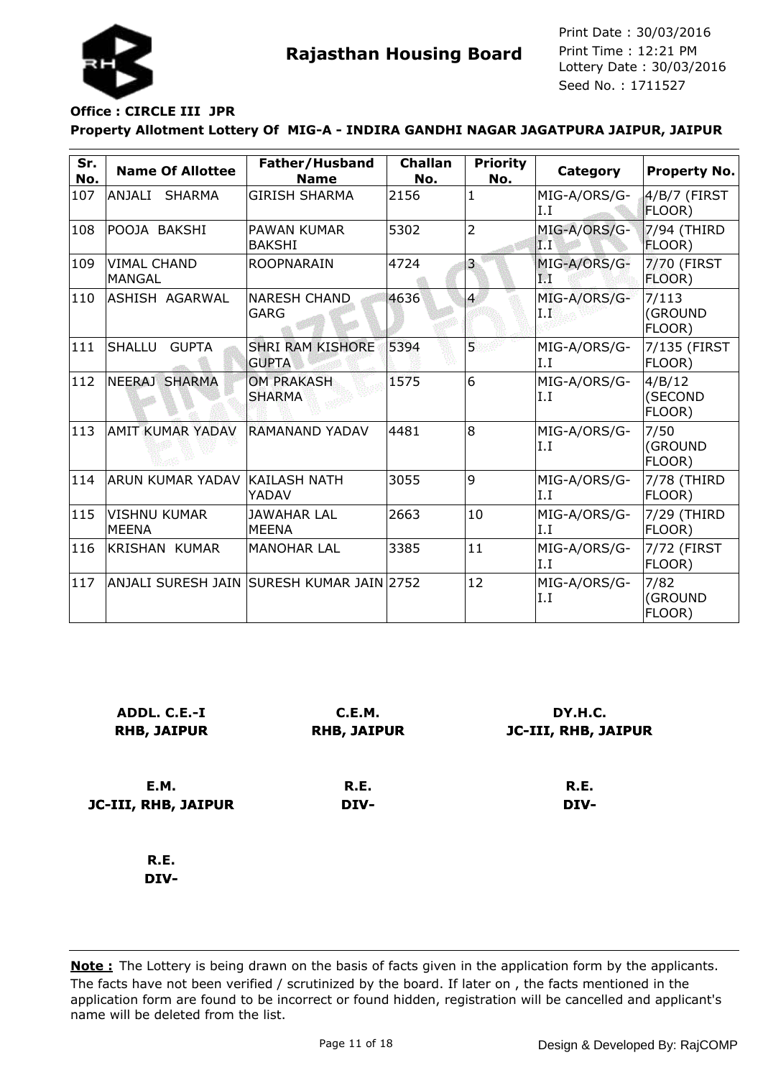

### **Property Allotment Lottery Of MIG-A - INDIRA GANDHI NAGAR JAGATPURA JAIPUR, JAIPUR Office : CIRCLE III JPR**

| Sr.<br>No.    | <b>Name Of Allottee</b>             | Father/Husband<br><b>Name</b>             | <b>Challan</b><br>No. | <b>Priority</b><br>No.  | Category            | <b>Property No.</b>         |
|---------------|-------------------------------------|-------------------------------------------|-----------------------|-------------------------|---------------------|-----------------------------|
| 107           | ANJALI<br><b>SHARMA</b>             | <b>GIRISH SHARMA</b>                      | 2156                  | 1                       | MIG-A/ORS/G-<br>I.I | 4/B/7 (FIRST<br>FLOOR)      |
| 108           | POOJA BAKSHI                        | PAWAN KUMAR<br><b>BAKSHI</b>              | 5302                  | $\overline{2}$          | MIG-A/ORS/G-<br>IГТ | 7/94 (THIRD<br>FLOOR)       |
| 109           | <b>VIMAL CHAND</b><br><b>MANGAL</b> | <b>ROOPNARAIN</b>                         | 4724                  | $\overline{\mathbf{3}}$ | MIG-A/ORS/G-<br>F.  | 7/70 (FIRST<br>FLOOR)       |
| 110           | ASHISH AGARWAL                      | <b>NARESH CHAND</b><br>GARG               | 4636                  | $\overline{4}$          | MIG-A/ORS/G-<br>ΙP  | 7/113<br>(GROUND<br>FLOOR)  |
| 111           | SHALLU<br><b>GUPTA</b>              | <b>SHRI RAM KISHORE</b><br><b>GUPTA</b>   | 5394                  | $\overline{5}$          | MIG-A/ORS/G-<br>I.I | 7/135 (FIRST<br>FLOOR)      |
| 112           | NEERAJ SHARMA                       | <b>OM PRAKASH</b><br><b>SHARMA</b>        | 1575                  | 6                       | MIG-A/ORS/G-<br>I.I | 4/B/12<br>(SECOND<br>FLOOR) |
| 113           | <b>AMIT KUMAR YADAV</b>             | RAMANAND YADAV                            | 4481                  | 8                       | MIG-A/ORS/G-<br>I.I | 7/50<br>(GROUND<br>FLOOR)   |
| 114           | <b>ARUN KUMAR YADAV</b>             | KAILASH NATH<br>YADAV                     | 3055                  | 9                       | MIG-A/ORS/G-<br>I.I | 7/78 (THIRD<br>FLOOR)       |
| 115           | <b>VISHNU KUMAR</b><br><b>MEENA</b> | <b>JAWAHAR LAL</b><br><b>MEENA</b>        | 2663                  | 10                      | MIG-A/ORS/G-<br>I.I | 7/29 (THIRD<br>FLOOR)       |
| 116           | <b>KRISHAN KUMAR</b>                | <b>MANOHAR LAL</b>                        | 3385                  | 11                      | MIG-A/ORS/G-<br>I.I | 7/72 (FIRST<br>FLOOR)       |
| $ 117\rangle$ |                                     | ANJALI SURESH JAIN SURESH KUMAR JAIN 2752 |                       | 12                      | MIG-A/ORS/G-<br>I.I | 7/82<br>(GROUND<br>FLOOR)   |

| ADDL. C.E.-I<br><b>RHB, JAIPUR</b> | C.E.M.<br><b>RHB, JAIPUR</b> | DY.H.C.<br>JC-III, RHB, JAIPUR |
|------------------------------------|------------------------------|--------------------------------|
| <b>E.M.</b>                        | R.E.                         | R.E.                           |
| JC-III, RHB, JAIPUR                | DIV-                         | DIV-                           |
| R.E.                               |                              |                                |
| DIV-                               |                              |                                |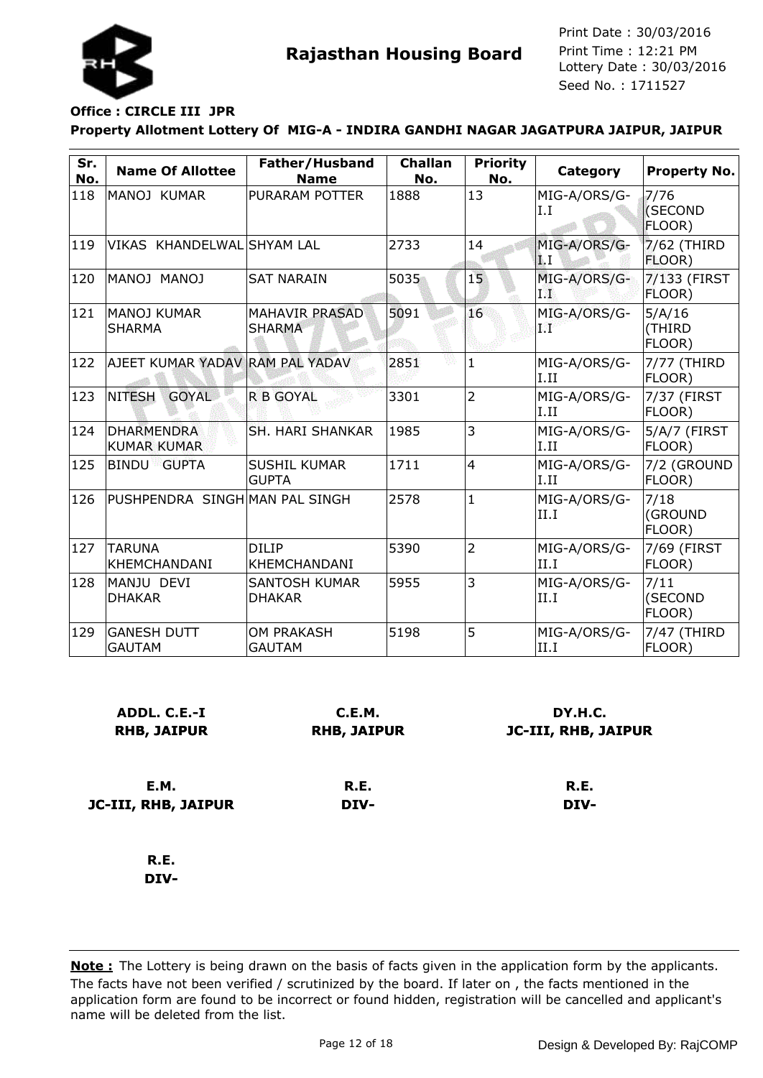

### **Office : CIRCLE III JPR**

#### **Property Allotment Lottery Of MIG-A - INDIRA GANDHI NAGAR JAGATPURA JAIPUR, JAIPUR**

| Sr.<br>No. | <b>Name Of Allottee</b>                 | Father/Husband<br><b>Name</b>          | <b>Challan</b><br>No. | <b>Priority</b><br>No. | Category              | <b>Property No.</b>        |
|------------|-----------------------------------------|----------------------------------------|-----------------------|------------------------|-----------------------|----------------------------|
| 118        | MANOJ KUMAR                             | PURARAM POTTER                         | 1888                  | 13                     | MIG-A/ORS/G-<br>I.I   | 7/76<br>(SECOND<br>FLOOR)  |
| 119        | VIKAS KHANDELWAL SHYAM LAL              |                                        | 2733                  | 14                     | MIG-A/ORS/G-<br>ÎΙ.   | 7/62 (THIRD<br>FLOOR)      |
| 120        | MANOJ MANOJ                             | <b>SAT NARAIN</b>                      | 5035                  | 15                     | MIG-A/ORS/G-<br>178   | 7/133 (FIRST<br>FLOOR)     |
| 121        | MANOJ KUMAR<br><b>SHARMA</b>            | <b>MAHAVIR PRASAD</b><br><b>SHARMA</b> | 5091                  | 16                     | MIG-A/ORS/G-<br>9.PP  | 5/A/16<br>(THIRD<br>FLOOR) |
| 122        | AJEET KUMAR YADAV RAM PAL YADAV         |                                        | 2851                  | $\mathbf{1}$           | MIG-A/ORS/G-<br>I.II  | 7/77 (THIRD<br>FLOOR)      |
| 123        | NITESH<br><b>GOYAL</b>                  | <b>R B GOYAL</b>                       | 3301                  | $\overline{2}$         | MIG-A/ORS/G-<br>II.II | 7/37 (FIRST<br>FLOOR)      |
| 124        | <b>DHARMENDRA</b><br><b>KUMAR KUMAR</b> | SH. HARI SHANKAR                       | 1985                  | 3                      | MIG-A/ORS/G-<br>I.II  | 5/A/7 (FIRST<br>FLOOR)     |
| 125        | <b>BINDU GUPTA</b>                      | <b>SUSHIL KUMAR</b><br><b>GUPTA</b>    | 1711                  | $\overline{4}$         | MIG-A/ORS/G-<br>II.II | 7/2 (GROUND<br>FLOOR)      |
| 126        | PUSHPENDRA SINGH MAN PAL SINGH          |                                        | 2578                  | $\mathbf{1}$           | MIG-A/ORS/G-<br>II.I  | 7/18<br>(GROUND<br>FLOOR)  |
| 127        | <b>TARUNA</b><br><b>KHEMCHANDANI</b>    | <b>DILIP</b><br><b>KHEMCHANDANI</b>    | 5390                  | $\overline{2}$         | MIG-A/ORS/G-<br>II.I  | 7/69 (FIRST<br>FLOOR)      |
| 128        | MANJU DEVI<br><b>DHAKAR</b>             | <b>SANTOSH KUMAR</b><br><b>DHAKAR</b>  | 5955                  | 3                      | MIG-A/ORS/G-<br>II.I  | 7/11<br>(SECOND<br>FLOOR)  |
| 129        | <b>GANESH DUTT</b><br><b>GAUTAM</b>     | <b>OM PRAKASH</b><br><b>GAUTAM</b>     | 5198                  | 5                      | MIG-A/ORS/G-<br>II.I  | 7/47 (THIRD<br>FLOOR)      |

| ADDL. C.E.-I<br><b>RHB, JAIPUR</b> | C.E.M.<br><b>RHB, JAIPUR</b> | DY.H.C.<br>JC-III, RHB, JAIPUR |  |  |
|------------------------------------|------------------------------|--------------------------------|--|--|
| E.M.                               | R.E.                         | R.E.                           |  |  |
| JC-III, RHB, JAIPUR                | DIV-                         | DIV-                           |  |  |
| R.E.                               |                              |                                |  |  |

**DIV-**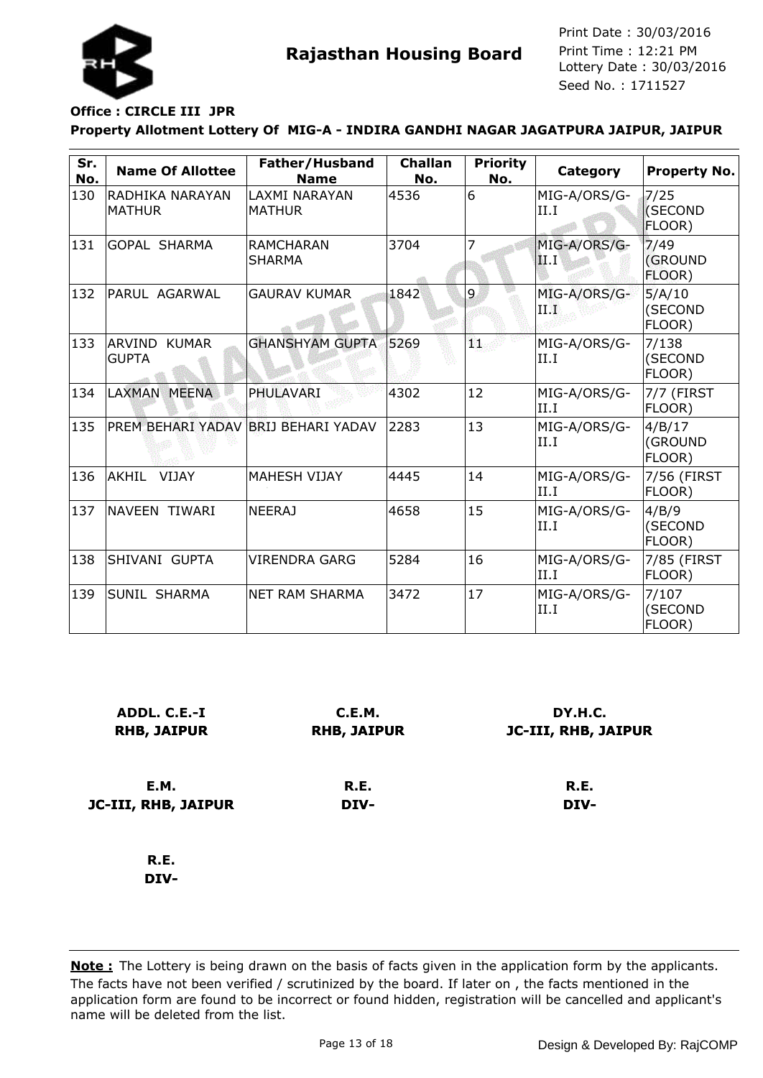

# **Office : CIRCLE III JPR**

#### **Property Allotment Lottery Of MIG-A - INDIRA GANDHI NAGAR JAGATPURA JAIPUR, JAIPUR**

| Sr.<br>No. | <b>Name Of Allottee</b>             | Father/Husband<br><b>Name</b>         | <b>Challan</b><br>No. | <b>Priority</b><br>No. | Category             | <b>Property No.</b>         |
|------------|-------------------------------------|---------------------------------------|-----------------------|------------------------|----------------------|-----------------------------|
| 130        | RADHIKA NARAYAN<br><b>MATHUR</b>    | <b>LAXMI NARAYAN</b><br><b>MATHUR</b> | 4536                  | 6                      | MIG-A/ORS/G-<br>II.I | 7/25<br>(SECOND<br>FLOOR)   |
| 131        | <b>GOPAL SHARMA</b>                 | <b>RAMCHARAN</b><br><b>SHARMA</b>     | 3704                  | 7                      | MIG-A/ORS/G-<br>II Г | 7/49<br>(GROUND<br>FLOOR)   |
| 132        | PARUL AGARWAL                       | <b>GAURAV KUMAR</b>                   | 1842                  | 9                      | MIG-A/ORS/G-<br>HW   | 5/A/10<br>(SECOND<br>FLOOR) |
| 133        | <b>ARVIND KUMAR</b><br><b>GUPTA</b> | <b>GHANSHYAM GUPTA</b>                | 5269                  | W.                     | MIG-A/ORS/G-<br>II.I | 7/138<br>(SECOND<br>FLOOR)  |
| 134        | LAXMAN MEENA                        | PHULAVARI                             | 4302                  | 12                     | MIG-A/ORS/G-<br>II.I | 7/7 (FIRST<br>FLOOR)        |
| 135        | PREM BEHARI YADAV BRIJ BEHARI YADAV |                                       | 2283                  | 13                     | MIG-A/ORS/G-<br>II.I | 4/B/17<br>(GROUND<br>FLOOR) |
| 136        | <b>AKHIL</b><br><b>VIJAY</b>        | <b>MAHESH VIJAY</b>                   | 4445                  | 14                     | MIG-A/ORS/G-<br>II.I | 7/56 (FIRST<br>FLOOR)       |
| 137        | NAVEEN TIWARI                       | <b>NEERAJ</b>                         | 4658                  | 15                     | MIG-A/ORS/G-<br>II.I | 4/B/9<br>(SECOND<br>FLOOR)  |
| 138        | SHIVANI GUPTA                       | <b>VIRENDRA GARG</b>                  | 5284                  | 16                     | MIG-A/ORS/G-<br>II.I | 7/85 (FIRST<br>FLOOR)       |
| 139        | <b>SUNIL SHARMA</b>                 | <b>NET RAM SHARMA</b>                 | 3472                  | 17                     | MIG-A/ORS/G-<br>II.I | 7/107<br>(SECOND<br>FLOOR)  |

| ADDL. C.E.-I<br><b>RHB, JAIPUR</b> | C.E.M.<br><b>RHB, JAIPUR</b> | DY.H.C.<br><b>JC-III, RHB, JAIPUR</b> |
|------------------------------------|------------------------------|---------------------------------------|
| E.M.                               | R.E.                         | R.E.                                  |
| JC-III, RHB, JAIPUR                | DIV-                         | DIV-                                  |
| R.E.                               |                              |                                       |
| DIV-                               |                              |                                       |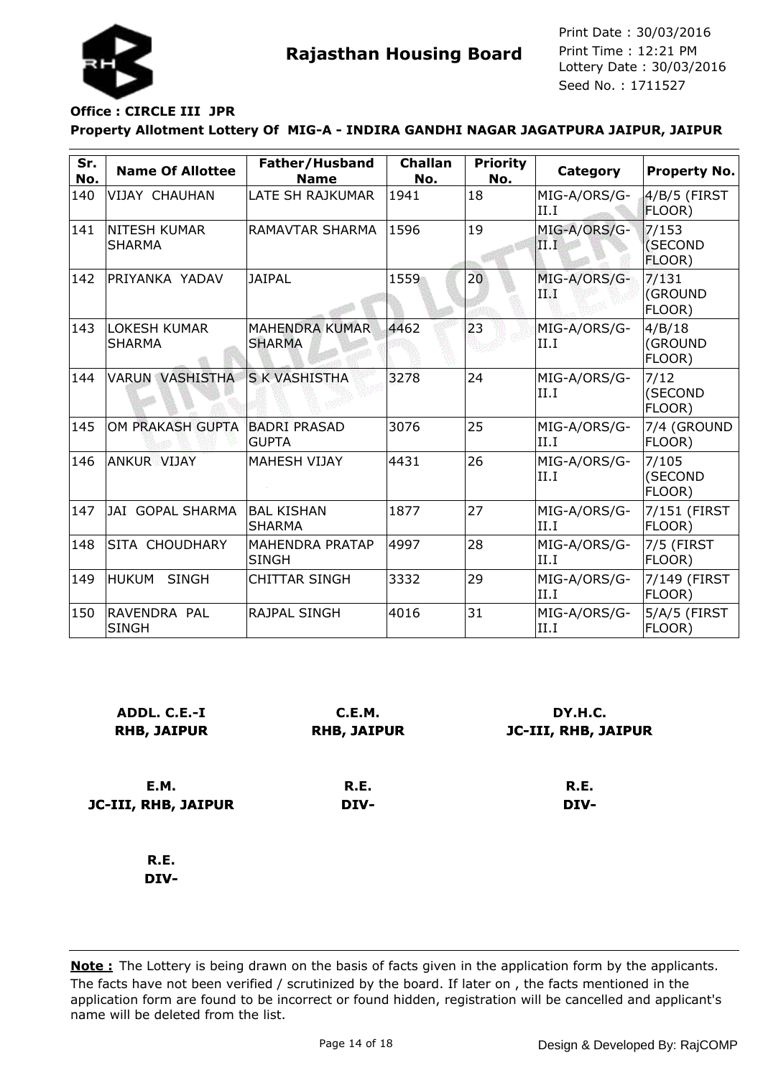

### **Office : CIRCLE III JPR**

#### **Property Allotment Lottery Of MIG-A - INDIRA GANDHI NAGAR JAGATPURA JAIPUR, JAIPUR**

| Sr.<br>No. | <b>Name Of Allottee</b>              | Father/Husband<br><b>Name</b>          | <b>Challan</b><br>No. | <b>Priority</b><br>No. | Category             | <b>Property No.</b>         |
|------------|--------------------------------------|----------------------------------------|-----------------------|------------------------|----------------------|-----------------------------|
| 140        | VIJAY CHAUHAN                        | LATE SH RAJKUMAR                       | 1941                  | 18                     | MIG-A/ORS/G-<br>II.I | 4/B/5 (FIRST<br>FLOOR)      |
| 141        | <b>NITESH KUMAR</b><br><b>SHARMA</b> | RAMAVTAR SHARMA                        | 1596                  | 19                     | MIG-A/ORS/G-<br>II.I | 7/153<br>(SECOND<br>FLOOR)  |
| 142        | IPRIYANKA YADAV                      | <b>JAIPAL</b>                          | 1559                  | 20 <sub>2</sub>        | MIG-A/ORS/G-<br>ПÅ   | 7/131<br>(GROUND<br>FLOOR)  |
| 143        | <b>LOKESH KUMAR</b><br><b>SHARMA</b> | <b>MAHENDRA KUMAR</b><br><b>SHARMA</b> | 4462                  | 23                     | MIG-A/ORS/G-<br>II.I | 4/B/18<br>(GROUND<br>FLOOR) |
| 144        | <b>VARUN VASHISTHA</b>               | <b>S K VASHISTHA</b>                   | 3278                  | 24                     | MIG-A/ORS/G-<br>II.I | 7/12<br>(SECOND<br>FLOOR)   |
| 145        | OM PRAKASH GUPTA                     | <b>BADRI PRASAD</b><br><b>GUPTA</b>    | 3076                  | 25                     | MIG-A/ORS/G-<br>II.I | 7/4 (GROUND<br>FLOOR)       |
| 146        | <b>ANKUR VIJAY</b>                   | <b>MAHESH VIJAY</b>                    | 4431                  | 26                     | MIG-A/ORS/G-<br>II.I | 7/105<br>(SECOND<br>FLOOR)  |
| 147        | JAI GOPAL SHARMA                     | <b>BAL KISHAN</b><br><b>SHARMA</b>     | 1877                  | 27                     | MIG-A/ORS/G-<br>II.I | 7/151 (FIRST<br>FLOOR)      |
| 148        | <b>SITA CHOUDHARY</b>                | <b>MAHENDRA PRATAP</b><br><b>SINGH</b> | 4997                  | 28                     | MIG-A/ORS/G-<br>II.I | 7/5 (FIRST<br>FLOOR)        |
| 149        | IHUKUM<br><b>SINGH</b>               | <b>CHITTAR SINGH</b>                   | 3332                  | 29                     | MIG-A/ORS/G-<br>II.I | 7/149 (FIRST<br>FLOOR)      |
| 150        | RAVENDRA PAL<br><b>SINGH</b>         | <b>RAJPAL SINGH</b>                    | 4016                  | 31                     | MIG-A/ORS/G-<br>II.I | 5/A/5 (FIRST<br>FLOOR)      |

| ADDL. C.E.-I<br><b>RHB, JAIPUR</b> | C.E.M.<br><b>RHB, JAIPUR</b> | DY.H.C.<br><b>JC-III, RHB, JAIPUR</b> |
|------------------------------------|------------------------------|---------------------------------------|
| E.M.                               | R.E.                         | R.E.                                  |
| JC-III, RHB, JAIPUR                | DIV-                         | DIV-                                  |
| R.E.                               |                              |                                       |
| DIV-                               |                              |                                       |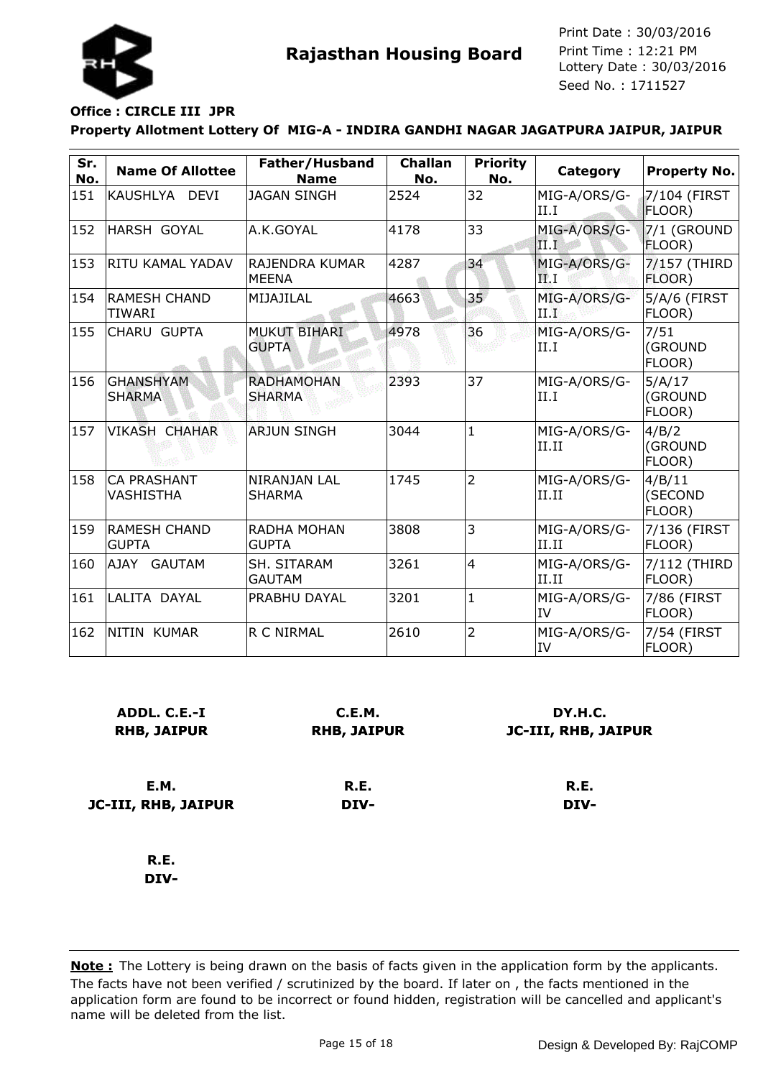

### **Property Allotment Lottery Of MIG-A - INDIRA GANDHI NAGAR JAGATPURA JAIPUR, JAIPUR Office : CIRCLE III JPR**

| Sr.<br>No. | <b>Name Of Allottee</b>              | Father/Husband<br><b>Name</b>       | <b>Challan</b><br>No. | <b>Priority</b><br>No. | Category              | <b>Property No.</b>         |
|------------|--------------------------------------|-------------------------------------|-----------------------|------------------------|-----------------------|-----------------------------|
| 151        | KAUSHLYA DEVI                        | <b>JAGAN SINGH</b>                  | 2524                  | 32                     | MIG-A/ORS/G-<br>II.I  | 7/104 (FIRST<br>FLOOR)      |
| 152        | <b>HARSH GOYAL</b>                   | A.K.GOYAL                           | 4178                  | 33                     | MIG-A/ORS/G-<br>II.I  | 7/1 (GROUND<br>FLOOR)       |
| 153        | RITU KAMAL YADAV                     | RAJENDRA KUMAR<br><b>MEENA</b>      | 4287                  | 34                     | MIG-A/ORS/G-<br>FL I  | 7/157 (THIRD<br>FLOOR)      |
| 154        | <b>RAMESH CHAND</b><br><b>TIWARI</b> | MIJAJILAL                           | 4663                  | 35 <sub>1</sub>        | MIG-A/ORS/G-<br>TI W  | $5/A/6$ (FIRST<br>FLOOR)    |
| 155        | CHARU GUPTA                          | <b>MUKUT BIHARI</b><br><b>GUPTA</b> | 4978                  | 36                     | MIG-A/ORS/G-<br>II.I  | 7/51<br>(GROUND<br>FLOOR)   |
| 156        | <b>GHANSHYAM</b><br><b>SHARMA</b>    | <b>RADHAMOHAN</b><br><b>SHARMA</b>  | 2393                  | 37                     | MIG-A/ORS/G-<br>II.I  | 5/A/17<br>(GROUND<br>FLOOR) |
| 157        | <b>VIKASH CHAHAR</b>                 | <b>ARJUN SINGH</b>                  | 3044                  | $\mathbf{1}$           | MIG-A/ORS/G-<br>II.II | 4/B/2<br>(GROUND<br>FLOOR)  |
| 158        | <b>CA PRASHANT</b><br>VASHISTHA      | NIRANJAN LAL<br><b>SHARMA</b>       | 1745                  | $\overline{2}$         | MIG-A/ORS/G-<br>II.II | 4/B/11<br>(SECOND<br>FLOOR) |
| 159        | <b>IRAMESH CHAND</b><br><b>GUPTA</b> | <b>RADHA MOHAN</b><br><b>GUPTA</b>  | 3808                  | 3                      | MIG-A/ORS/G-<br>II.II | 7/136 (FIRST<br>FLOOR)      |
| 160        | AJAY GAUTAM                          | SH. SITARAM<br><b>GAUTAM</b>        | 3261                  | $\overline{4}$         | MIG-A/ORS/G-<br>II.II | 7/112 (THIRD<br>FLOOR)      |
| 161        | LALITA DAYAL                         | PRABHU DAYAL                        | 3201                  | $\mathbf{1}$           | MIG-A/ORS/G-<br>lIV   | 7/86 (FIRST<br>FLOOR)       |
| 162        | NITIN KUMAR                          | R C NIRMAL                          | 2610                  | $\overline{2}$         | MIG-A/ORS/G-<br>lIV   | 7/54 (FIRST<br>FLOOR)       |

| ADDL. C.E.-I<br><b>RHB, JAIPUR</b> | C.E.M.<br><b>RHB, JAIPUR</b> | DY.H.C.<br>JC-III, RHB, JAIPUR |
|------------------------------------|------------------------------|--------------------------------|
| E.M.                               | R.E.                         | R.E.                           |
| <b>JC-III, RHB, JAIPUR</b>         | DIV-                         | DIV-                           |
| R.E.<br>----                       |                              |                                |

**DIV-**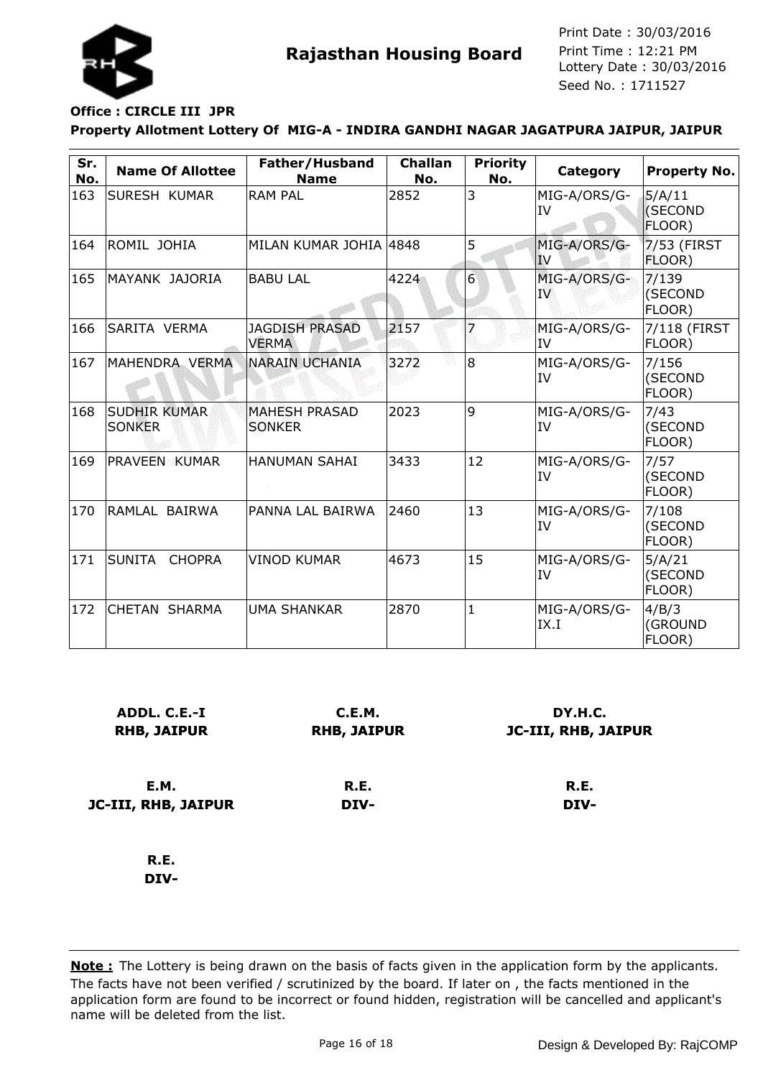

### **Office : CIRCLE III JPR**

#### **Property Allotment Lottery Of MIG-A - INDIRA GANDHI NAGAR JAGATPURA JAIPUR, JAIPUR**

| Sr.<br>No. | <b>Name Of Allottee</b>              | Father/Husband<br><b>Name</b>         | <b>Challan</b><br>No. | <b>Priority</b><br>No. | <b>Category</b>           | <b>Property No.</b>         |
|------------|--------------------------------------|---------------------------------------|-----------------------|------------------------|---------------------------|-----------------------------|
| 163        | SURESH KUMAR                         | <b>RAM PAL</b>                        | 2852                  | 3                      | MIG-A/ORS/G-<br><b>IV</b> | 5/A/11<br>(SECOND<br>FLOOR) |
| 164        | ROMIL JOHIA                          | MILAN KUMAR JOHIA 4848                |                       | 5                      | MIG-A/ORS/G-<br>IV        | 7/53 (FIRST<br>FLOOR)       |
| 165        | MAYANK JAJORIA                       | <b>BABU LAL</b>                       | 4224                  | $6\overline{6}$        | MIG-A/ORS/G-<br>IV        | 7/139<br>(SECOND<br>FLOOR)  |
| 166        | SARITA VERMA                         | <b>JAGDISH PRASAD</b><br><b>VERMA</b> | 2157                  |                        | MIG-A/ORS/G-<br>IV        | 7/118 (FIRST<br>FLOOR)      |
| 167        | MAHENDRA VERMA                       | NARAIN UCHANIA                        | 3272                  | 8                      | MIG-A/ORS/G-<br>IV        | 7/156<br>(SECOND<br>FLOOR)  |
| 168        | <b>SUDHIR KUMAR</b><br><b>SONKER</b> | <b>MAHESH PRASAD</b><br><b>SONKER</b> | 2023                  | 9                      | MIG-A/ORS/G-<br>IV        | 7/43<br>(SECOND<br>FLOOR)   |
| 169        | PRAVEEN KUMAR                        | <b>HANUMAN SAHAI</b>                  | 3433                  | 12                     | MIG-A/ORS/G-<br>IV        | 7/57<br>(SECOND<br>FLOOR)   |
| 170        | RAMLAL BAIRWA                        | PANNA LAL BAIRWA                      | 2460                  | 13                     | MIG-A/ORS/G-<br>IV        | 7/108<br>(SECOND<br>FLOOR)  |
| 171        | <b>SUNITA</b><br><b>CHOPRA</b>       | <b>VINOD KUMAR</b>                    | 4673                  | 15                     | MIG-A/ORS/G-<br>IV        | 5/A/21<br>(SECOND<br>FLOOR) |
| 172        | <b>CHETAN SHARMA</b>                 | <b>UMA SHANKAR</b>                    | 2870                  | $\mathbf{1}$           | MIG-A/ORS/G-<br>IX.I      | 4/B/3<br>(GROUND<br>FLOOR)  |

| ADDL. C.E.-I<br><b>RHB, JAIPUR</b> | C.E.M.<br><b>RHB, JAIPUR</b> | DY.H.C.<br><b>JC-III, RHB, JAIPUR</b> |
|------------------------------------|------------------------------|---------------------------------------|
| E.M.                               | R.E.                         | R.E.                                  |
| JC-III, RHB, JAIPUR                | DIV-                         | DIV-                                  |
| R.E.                               |                              |                                       |

**DIV-**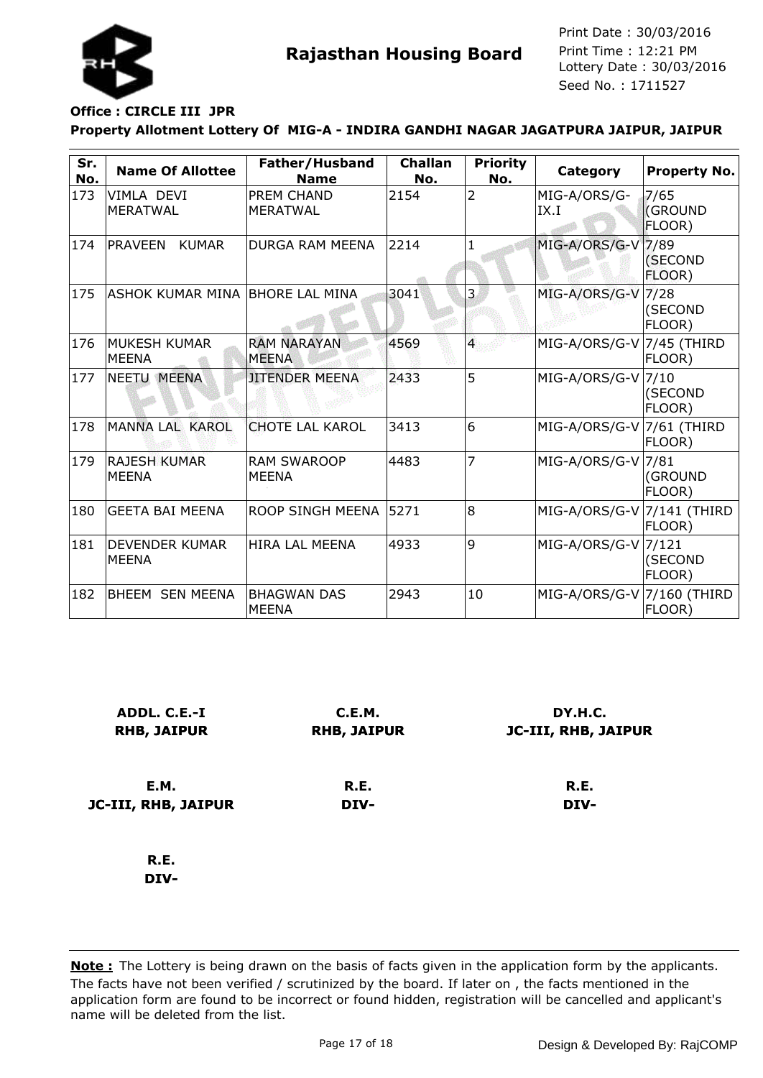

### **Office : CIRCLE III JPR**

#### **Property Allotment Lottery Of MIG-A - INDIRA GANDHI NAGAR JAGATPURA JAIPUR, JAIPUR**

| Sr.<br>No. | <b>Name Of Allottee</b>               | Father/Husband<br><b>Name</b>      | <b>Challan</b><br>No. | <b>Priority</b><br>No. | <b>Category</b>            | <b>Property No.</b>              |
|------------|---------------------------------------|------------------------------------|-----------------------|------------------------|----------------------------|----------------------------------|
| 173        | VIMLA DEVI<br><b>MERATWAL</b>         | PREM CHAND<br><b>MERATWAL</b>      | 2154                  | $\overline{2}$         | MIG-A/ORS/G-<br>IX.I       | 7/65<br><b>(GROUND</b><br>FLOOR) |
| 174        | <b>PRAVEEN</b><br><b>KUMAR</b>        | <b>DURGA RAM MEENA</b>             | 2214                  | $\mathbf{1}$           | MIG-A/ORS/G-V 7/89         | (SECOND<br>FLOOR)                |
| 175        | ASHOK KUMAR MINA                      | <b>BHORE LAL MINA</b>              | 3041                  | 3                      | MIG-A/ORS/G-V              | 7/28<br>(SECOND<br>FLOOR)        |
| 176        | <b>MUKESH KUMAR</b><br><b>MEENA</b>   | <b>RAM NARAYAN</b><br><b>MEENA</b> | 4569                  | $\overline{4}$         | MIG-A/ORS/G-V 7/45 (THIRD  | FLOOR)                           |
| 177        | <b>NEETU MEENA</b>                    | <b>JITENDER MEENA</b>              | 2433                  | 5                      | MIG-A/ORS/G-V              | 7/10<br>(SECOND<br>FLOOR)        |
| 178        | MANNA LAL KAROL                       | <b>CHOTE LAL KAROL</b>             | 3413                  | 6                      | MIG-A/ORS/G-V 7/61 (THIRD  | FLOOR)                           |
| 179        | <b>RAJESH KUMAR</b><br><b>MEENA</b>   | <b>RAM SWAROOP</b><br><b>MEENA</b> | 4483                  | 7                      | MIG-A/ORS/G-V 7/81         | (GROUND<br>FLOOR)                |
| 180        | <b>GEETA BAI MEENA</b>                | <b>ROOP SINGH MEENA</b>            | 5271                  | 8                      | MIG-A/ORS/G-V 7/141 (THIRD | FLOOR)                           |
| 181        | <b>DEVENDER KUMAR</b><br><b>MEENA</b> | <b>HIRA LAL MEENA</b>              | 4933                  | 9                      | MIG-A/ORS/G-V 7/121        | (SECOND<br>FLOOR)                |
| 182        | BHEEM SEN MEENA                       | <b>BHAGWAN DAS</b><br><b>MEENA</b> | 2943                  | 10                     | MIG-A/ORS/G-V 7/160 (THIRD | FLOOR)                           |

| ADDL. C.E.-I<br><b>RHB, JAIPUR</b> | C.E.M.<br><b>RHB, JAIPUR</b> | DY.H.C.<br><b>JC-III, RHB, JAIPUR</b> |
|------------------------------------|------------------------------|---------------------------------------|
| E.M.                               | R.E.                         | R.E.                                  |
| JC-III, RHB, JAIPUR                | DIV-                         | DIV-                                  |
| R.E.                               |                              |                                       |
| DIV-                               |                              |                                       |